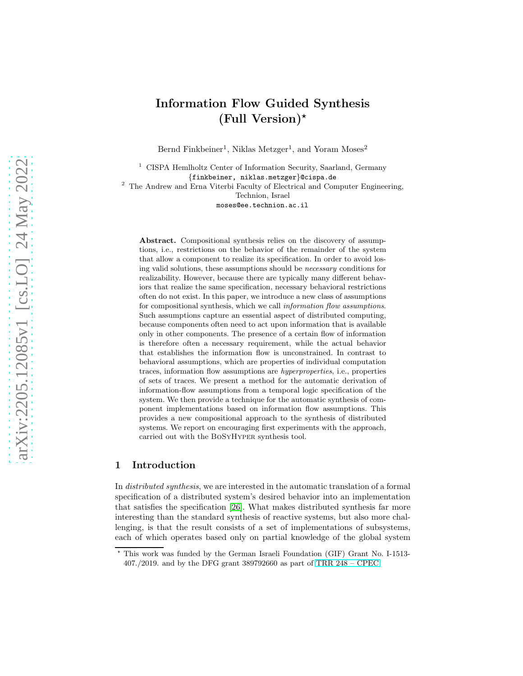# Information Flow Guided Synthesis (Full Version)<sup>\*</sup>

Bernd Finkbeiner<sup>1</sup>, Niklas Metzger<sup>1</sup>, and Yoram Moses<sup>2</sup>

<sup>1</sup> CISPA Hemlholtz Center of Information Security, Saarland, Germany {finkbeiner, niklas.metzger}@cispa.de  $^2\,$  The Andrew and Erna Viterbi Faculty of Electrical and Computer Engineering, Technion, Israel moses@ee.technion.ac.il

Abstract. Compositional synthesis relies on the discovery of assumptions, i.e., restrictions on the behavior of the remainder of the system that allow a component to realize its specification. In order to avoid losing valid solutions, these assumptions should be necessary conditions for realizability. However, because there are typically many different behaviors that realize the same specification, necessary behavioral restrictions often do not exist. In this paper, we introduce a new class of assumptions for compositional synthesis, which we call information flow assumptions. Such assumptions capture an essential aspect of distributed computing, because components often need to act upon information that is available only in other components. The presence of a certain flow of information is therefore often a necessary requirement, while the actual behavior that establishes the information flow is unconstrained. In contrast to behavioral assumptions, which are properties of individual computation traces, information flow assumptions are hyperproperties, i.e., properties of sets of traces. We present a method for the automatic derivation of information-flow assumptions from a temporal logic specification of the system. We then provide a technique for the automatic synthesis of component implementations based on information flow assumptions. This provides a new compositional approach to the synthesis of distributed systems. We report on encouraging first experiments with the approach, carried out with the BoSyHyper synthesis tool.

## 1 Introduction

In distributed synthesis, we are interested in the automatic translation of a formal specification of a distributed system's desired behavior into an implementation that satisfies the specification [\[26\]](#page-25-0). What makes distributed synthesis far more interesting than the standard synthesis of reactive systems, but also more challenging, is that the result consists of a set of implementations of subsystems, each of which operates based only on partial knowledge of the global system

<sup>⋆</sup> This work was funded by the German Israeli Foundation (GIF) Grant No. I-1513- 407./2019. and by the DFG grant 389792660 as part of [TRR 248 – CPEC.](https://perspicuous-computing.science)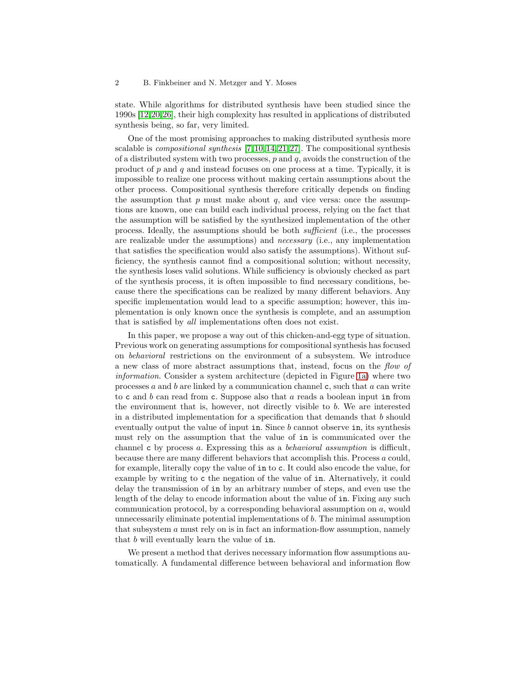state. While algorithms for distributed synthesis have been studied since the 1990s [\[12,](#page-24-0)[20,](#page-25-1)[26\]](#page-25-0), their high complexity has resulted in applications of distributed synthesis being, so far, very limited.

One of the most promising approaches to making distributed synthesis more scalable is *compositional synthesis*  $[7, 10, 14, 21, 27]$  $[7, 10, 14, 21, 27]$  $[7, 10, 14, 21, 27]$  $[7, 10, 14, 21, 27]$  $[7, 10, 14, 21, 27]$ . The compositional synthesis of a distributed system with two processes,  $p$  and  $q$ , avoids the construction of the product of p and q and instead focuses on one process at a time. Typically, it is impossible to realize one process without making certain assumptions about the other process. Compositional synthesis therefore critically depends on finding the assumption that p must make about q, and vice versa: once the assumptions are known, one can build each individual process, relying on the fact that the assumption will be satisfied by the synthesized implementation of the other process. Ideally, the assumptions should be both sufficient (i.e., the processes are realizable under the assumptions) and necessary (i.e., any implementation that satisfies the specification would also satisfy the assumptions). Without sufficiency, the synthesis cannot find a compositional solution; without necessity, the synthesis loses valid solutions. While sufficiency is obviously checked as part of the synthesis process, it is often impossible to find necessary conditions, because there the specifications can be realized by many different behaviors. Any specific implementation would lead to a specific assumption; however, this implementation is only known once the synthesis is complete, and an assumption that is satisfied by all implementations often does not exist.

In this paper, we propose a way out of this chicken-and-egg type of situation. Previous work on generating assumptions for compositional synthesis has focused on behavioral restrictions on the environment of a subsystem. We introduce a new class of more abstract assumptions that, instead, focus on the flow of information. Consider a system architecture (depicted in Figure [1a\)](#page-4-0) where two processes a and b are linked by a communication channel  $\mathsf{c}$ , such that a can write to c and b can read from c. Suppose also that  $a$  reads a boolean input in from the environment that is, however, not directly visible to b. We are interested in a distributed implementation for a specification that demands that  $b$  should eventually output the value of input  $\text{in.}$  Since  $b$  cannot observe  $\text{in,}$  its synthesis must rely on the assumption that the value of in is communicated over the channel c by process a. Expressing this as a behavioral assumption is difficult, because there are many different behaviors that accomplish this. Process a could, for example, literally copy the value of in to c. It could also encode the value, for example by writing to c the negation of the value of in. Alternatively, it could delay the transmission of in by an arbitrary number of steps, and even use the length of the delay to encode information about the value of in. Fixing any such communication protocol, by a corresponding behavioral assumption on a, would unnecessarily eliminate potential implementations of b. The minimal assumption that subsystem a must rely on is in fact an information-flow assumption, namely that  $b$  will eventually learn the value of in.

We present a method that derives necessary information flow assumptions automatically. A fundamental difference between behavioral and information flow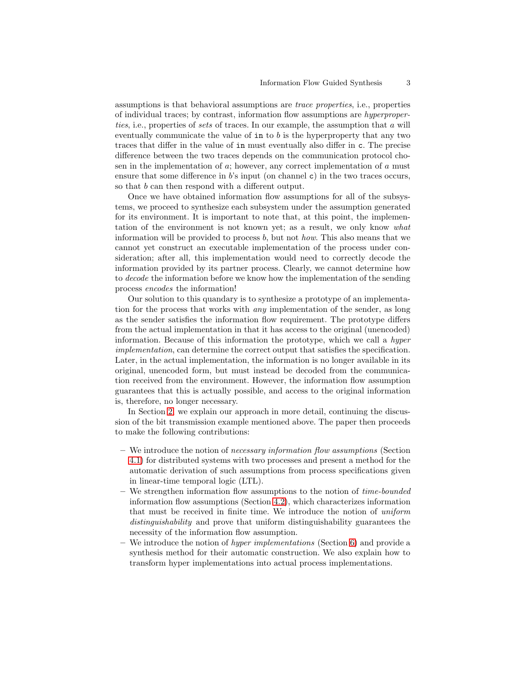assumptions is that behavioral assumptions are trace properties, i.e., properties of individual traces; by contrast, information flow assumptions are hyperproperties, i.e., properties of sets of traces. In our example, the assumption that a will eventually communicate the value of  $\text{in}$  to b is the hyperproperty that any two traces that differ in the value of in must eventually also differ in c. The precise difference between the two traces depends on the communication protocol chosen in the implementation of  $a$ ; however, any correct implementation of  $a$  must ensure that some difference in  $b$ 's input (on channel c) in the two traces occurs, so that b can then respond with a different output.

Once we have obtained information flow assumptions for all of the subsystems, we proceed to synthesize each subsystem under the assumption generated for its environment. It is important to note that, at this point, the implementation of the environment is not known yet; as a result, we only know what information will be provided to process  $b$ , but not *how*. This also means that we cannot yet construct an executable implementation of the process under consideration; after all, this implementation would need to correctly decode the information provided by its partner process. Clearly, we cannot determine how to decode the information before we know how the implementation of the sending process encodes the information!

Our solution to this quandary is to synthesize a prototype of an implementation for the process that works with any implementation of the sender, as long as the sender satisfies the information flow requirement. The prototype differs from the actual implementation in that it has access to the original (unencoded) information. Because of this information the prototype, which we call a hyper implementation, can determine the correct output that satisfies the specification. Later, in the actual implementation, the information is no longer available in its original, unencoded form, but must instead be decoded from the communication received from the environment. However, the information flow assumption guarantees that this is actually possible, and access to the original information is, therefore, no longer necessary.

In Section [2,](#page-3-0) we explain our approach in more detail, continuing the discussion of the bit transmission example mentioned above. The paper then proceeds to make the following contributions:

- $-$  We introduce the notion of necessary information flow assumptions (Section [4.1\)](#page-6-0) for distributed systems with two processes and present a method for the automatic derivation of such assumptions from process specifications given in linear-time temporal logic (LTL).
- We strengthen information flow assumptions to the notion of time-bounded information flow assumptions (Section [4.2\)](#page-8-0), which characterizes information that must be received in finite time. We introduce the notion of uniform distinguishability and prove that uniform distinguishability guarantees the necessity of the information flow assumption.
- We introduce the notion of *hyper implementations* (Section [6\)](#page-13-0) and provide a synthesis method for their automatic construction. We also explain how to transform hyper implementations into actual process implementations.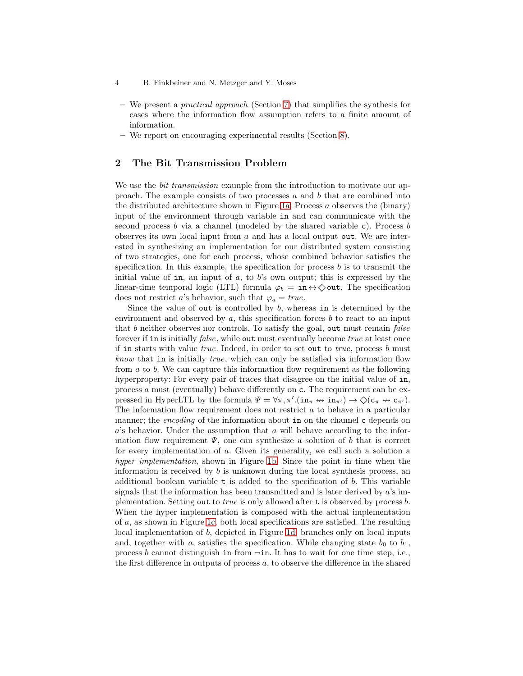- 4 B. Finkbeiner and N. Metzger and Y. Moses
- We present a practical approach (Section [7\)](#page-17-0) that simplifies the synthesis for cases where the information flow assumption refers to a finite amount of information.
- We report on encouraging experimental results (Section [8\)](#page-20-0).

## <span id="page-3-0"></span>2 The Bit Transmission Problem

We use the *bit transmission* example from the introduction to motivate our approach. The example consists of two processes  $a$  and  $b$  that are combined into the distributed architecture shown in Figure [1a.](#page-4-0) Process a observes the (binary) input of the environment through variable in and can communicate with the second process  $b$  via a channel (modeled by the shared variable c). Process  $b$ observes its own local input from  $a$  and has a local output out. We are interested in synthesizing an implementation for our distributed system consisting of two strategies, one for each process, whose combined behavior satisfies the specification. In this example, the specification for process  $b$  is to transmit the initial value of in, an input of  $a$ , to  $b$ 's own output; this is expressed by the linear-time temporal logic (LTL) formula  $\varphi_b = \text{in} \leftrightarrow \Diamond$  out. The specification does not restrict a's behavior, such that  $\varphi_a = true$ .

Since the value of out is controlled by b, whereas in is determined by the environment and observed by  $a$ , this specification forces  $b$  to react to an input that  $b$  neither observes nor controls. To satisfy the goal, out must remain false forever if in is initially *false*, while out must eventually become *true* at least once if in starts with value true. Indeed, in order to set out to true, process b must know that in is initially true, which can only be satisfied via information flow from a to b. We can capture this information flow requirement as the following hyperproperty: For every pair of traces that disagree on the initial value of in, process a must (eventually) behave differently on c. The requirement can be expressed in HyperLTL by the formula  $\Psi = \forall \pi, \pi'.(i n_\pi \leftrightarrow i n_{\pi'}) \rightarrow \Diamond(c_\pi \leftrightarrow c_{\pi'}).$ The information flow requirement does not restrict a to behave in a particular manner; the *encoding* of the information about in on the channel c depends on  $a$ 's behavior. Under the assumption that  $a$  will behave according to the information flow requirement  $\Psi$ , one can synthesize a solution of b that is correct for every implementation of a. Given its generality, we call such a solution a hyper implementation, shown in Figure [1b.](#page-4-0) Since the point in time when the information is received by  $b$  is unknown during the local synthesis process, an additional boolean variable  $t$  is added to the specification of b. This variable signals that the information has been transmitted and is later derived by  $a$ 's implementation. Setting out to true is only allowed after t is observed by process b. When the hyper implementation is composed with the actual implementation of a, as shown in Figure [1c,](#page-4-0) both local specifications are satisfied. The resulting local implementation of b, depicted in Figure [1d,](#page-4-0) branches only on local inputs and, together with a, satisfies the specification. While changing state  $b_0$  to  $b_1$ , process b cannot distinguish in from  $\neg$  in. It has to wait for one time step, i.e., the first difference in outputs of process a, to observe the difference in the shared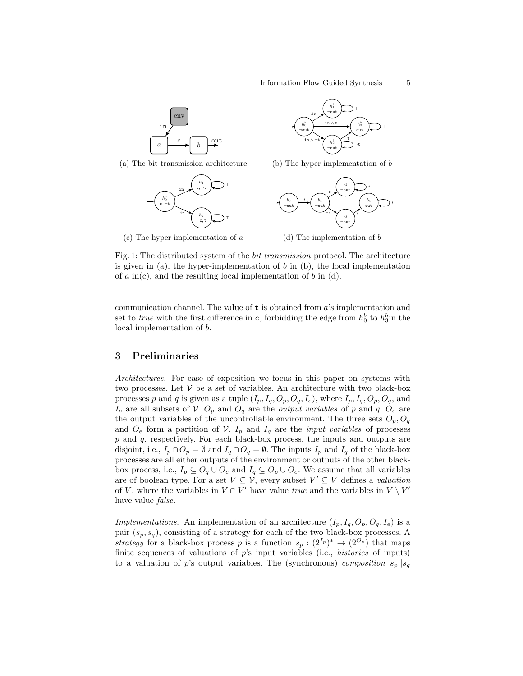<span id="page-4-0"></span>



(a) The bit transmission architecture





(b) The hyper implementation of b

(c) The hyper implementation of a

(d) The implementation of b

Fig. 1: The distributed system of the bit transmission protocol. The architecture is given in  $(a)$ , the hyper-implementation of b in  $(b)$ , the local implementation of  $a$  in(c), and the resulting local implementation of  $b$  in (d).

communication channel. The value of  $t$  is obtained from  $a$ 's implementation and set to *true* with the first difference in **c**, forbidding the edge from  $h_0^b$  to  $h_3^b$  in the local implementation of b.

### 3 Preliminaries

Architectures. For ease of exposition we focus in this paper on systems with two processes. Let  $V$  be a set of variables. An architecture with two black-box processes p and q is given as a tuple  $(I_p, I_q, O_p, O_q, I_e)$ , where  $I_p, I_q, O_p, O_q$ , and  $I_e$  are all subsets of V.  $O_p$  and  $O_q$  are the *output variables* of p and q.  $O_e$  are the output variables of the uncontrollable environment. The three sets  $O_p$ ,  $O_q$ and  $O_e$  form a partition of V.  $I_p$  and  $I_q$  are the *input variables* of processes p and q, respectively. For each black-box process, the inputs and outputs are disjoint, i.e.,  $I_p \cap O_p = \emptyset$  and  $I_q \cap O_q = \emptyset$ . The inputs  $I_p$  and  $I_q$  of the black-box processes are all either outputs of the environment or outputs of the other blackbox process, i.e.,  $I_p \subseteq O_q \cup O_e$  and  $I_q \subseteq O_p \cup O_e$ . We assume that all variables are of boolean type. For a set  $V \subseteq V$ , every subset  $V' \subseteq V$  defines a valuation of V, where the variables in  $V \cap V'$  have value true and the variables in  $V \setminus V'$ have value false.

Implementations. An implementation of an architecture  $(I_p, I_q, O_p, O_q, I_e)$  is a pair  $(s_p, s_q)$ , consisting of a strategy for each of the two black-box processes. A strategy for a black-box process p is a function  $s_p : (2^{I_p})^* \to (2^{O_p})$  that maps finite sequences of valuations of  $p$ 's input variables (i.e., *histories* of inputs) to a valuation of p's output variables. The (synchronous) composition  $s_p||s_q$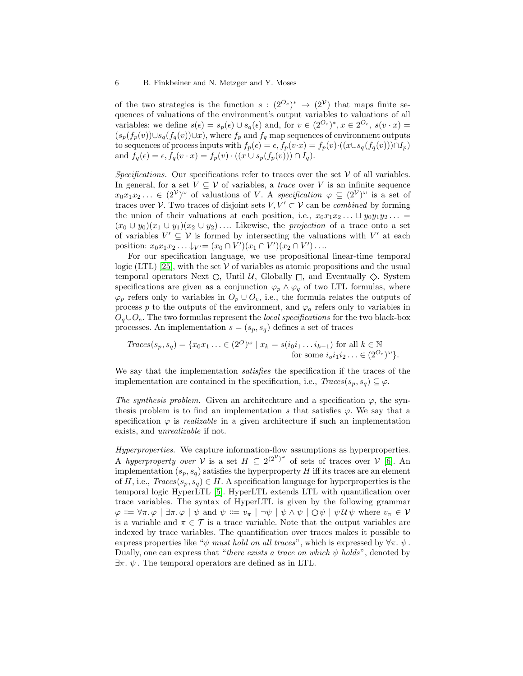of the two strategies is the function  $s: (2^{O_e})^* \rightarrow (2^{\mathcal{V}})$  that maps finite sequences of valuations of the environment's output variables to valuations of all variables: we define  $s(\epsilon) = s_p(\epsilon) \cup s_q(\epsilon)$  and, for  $v \in (2^{O_e})^*, x \in 2^{O_e}, s(v \cdot x) =$  $(s_p(f_p(v))\cup s_q(f_q(v))\cup x)$ , where  $f_p$  and  $f_q$  map sequences of environment outputs to sequences of process inputs with  $f_p(\epsilon) = \epsilon$ ,  $f_p(v \cdot x) = f_p(v) \cdot ((x \cup s_q(f_q(v))) \cap I_p)$ and  $f_q(\epsilon) = \epsilon$ ,  $f_q(v \cdot x) = f_p(v) \cdot ((x \cup s_p(f_p(v))) \cap I_q)$ .

Specifications. Our specifications refer to traces over the set  $V$  of all variables. In general, for a set  $V \subseteq V$  of variables, a *trace* over V is an infinite sequence  $x_0x_1x_2... \in (2^{\mathcal{V}})^{\omega}$  of valuations of V. A specification  $\varphi \subseteq (2^{\mathcal{V}})^{\omega}$  is a set of traces over V. Two traces of disjoint sets  $V, V' \subset V$  can be *combined* by forming the union of their valuations at each position, i.e.,  $x_0x_1x_2... \sqcup y_0y_1y_2...$  $(x_0 \cup y_0)(x_1 \cup y_1)(x_2 \cup y_2) \ldots$  Likewise, the projection of a trace onto a set of variables  $V' \subseteq V$  is formed by intersecting the valuations with V' at each position:  $x_0 x_1 x_2 ... \downarrow_{V'} = (x_0 \cap V')(x_1 \cap V')(x_2 \cap V') ...$ 

For our specification language, we use propositional linear-time temporal logic (LTL) [\[25\]](#page-25-3), with the set  $V$  of variables as atomic propositions and the usual temporal operators Next  $\circlearrowright$ , Until  $\mathcal{U}$ , Globally  $\Box$ , and Eventually  $\Diamond$ . System specifications are given as a conjunction  $\varphi_p \wedge \varphi_q$  of two LTL formulas, where  $\varphi_p$  refers only to variables in  $O_p \cup O_e$ , i.e., the formula relates the outputs of process p to the outputs of the environment, and  $\varphi_q$  refers only to variables in  $O_q \cup O_e$ . The two formulas represent the *local specifications* for the two black-box processes. An implementation  $s = (s_p, s_q)$  defines a set of traces

$$
Traces(s_p, s_q) = \{x_0x_1 \ldots \in (2^O)^{\omega} \mid x_k = s(i_0i_1 \ldots i_{k-1}) \text{ for all } k \in \mathbb{N} \text{ for some } i_o i_1 i_2 \ldots \in (2^{O_e})^{\omega} \}.
$$

We say that the implementation satisfies the specification if the traces of the implementation are contained in the specification, i.e.,  $Traces(s_p, s_q) \subseteq \varphi$ .

The synthesis problem. Given an architechture and a specification  $\varphi$ , the synthesis problem is to find an implementation s that satisfies  $\varphi$ . We say that a specification  $\varphi$  is *realizable* in a given architecture if such an implementation exists, and unrealizable if not.

Hyperproperties. We capture information-flow assumptions as hyperproperties. A hyperproperty over V is a set  $H \subseteq 2^{(2^{\mathcal{V}})^{\omega}}$  of sets of traces over V [\[6\]](#page-23-1). An implementation  $(s_p, s_q)$  satisfies the hyperproperty H iff its traces are an element of H, i.e.,  $Traces(s_p, s_q) \in H$ . A specification language for hyperproperties is the temporal logic HyperLTL [\[5\]](#page-23-2). HyperLTL extends LTL with quantification over trace variables. The syntax of HyperLTL is given by the following grammar  $\varphi \coloneqq \forall \pi \ldotp \varphi \mid \exists \pi \ldotp \varphi \mid \psi \text{ and } \psi \coloneqq v_{\pi} \mid \neg \psi \mid \psi \land \psi \mid \bigcirc \psi \mid \psi \mathcal{U} \psi \text{ where } v_{\pi} \in \mathcal{V}$ is a variable and  $\pi \in \mathcal{T}$  is a trace variable. Note that the output variables are indexed by trace variables. The quantification over traces makes it possible to express properties like " $\psi$  must hold on all traces", which is expressed by  $\forall \pi$ .  $\psi$ . Dually, one can express that "there exists a trace on which  $\psi$  holds", denoted by  $\exists \pi. \psi$ . The temporal operators are defined as in LTL.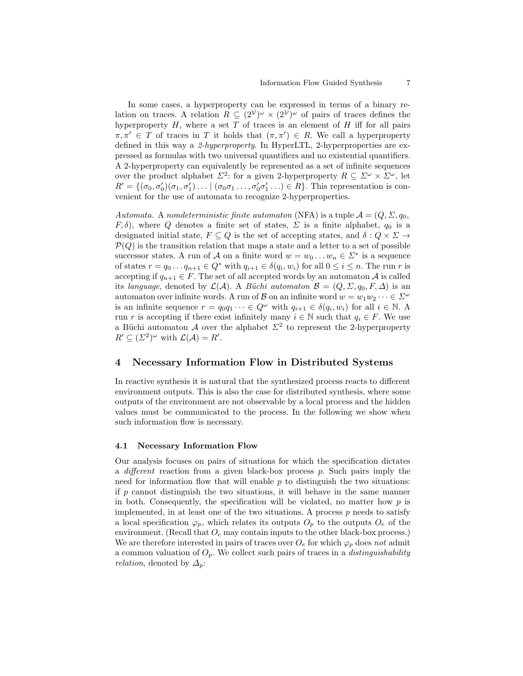In some cases, a hyperproperty can be expressed in terms of a binary relation on traces. A relation  $R \subseteq (2^{\mathcal{V}})^{\omega} \times (2^{\mathcal{V}})^{\omega}$  of pairs of traces defines the hyperproperty  $H$ , where a set  $T$  of traces is an element of  $H$  iff for all pairs  $\pi, \pi' \in T$  of traces in T it holds that  $(\pi, \pi') \in R$ . We call a hyperproperty defined in this way a 2-hyperproperty. In HyperLTL, 2-hyperproperties are expressed as formulas with two universal quantifiers and no existential quantifiers. A 2-hyperproperty can equivalently be represented as a set of infinite sequences over the product alphabet  $\Sigma^2$ : for a given 2-hyperproperty  $R \subseteq \Sigma^\omega \times \Sigma^\omega$ , let  $R' = \{(\sigma_0, \sigma'_0)(\sigma_1, \sigma'_1) \dots | (\sigma_0 \sigma_1 \dots, \sigma'_0 \sigma'_1 \dots) \in R\}.$  This representation is convenient for the use of automata to recognize 2-hyperproperties.

Automata. A nondeterministic finite automaton (NFA) is a tuple  $\mathcal{A} = (Q, \Sigma, q_0)$ ,  $(F, \delta)$ , where Q denotes a finite set of states,  $\Sigma$  is a finite alphabet,  $q_0$  is a designated initial state,  $F \subseteq Q$  is the set of accepting states, and  $\delta: Q \times \Sigma \rightarrow$  $\mathcal{P}(Q)$  is the transition relation that maps a state and a letter to a set of possible successor states. A run of A on a finite word  $w = w_0 \dots w_n \in \Sigma^*$  is a sequence of states  $r = q_0 \dots q_{n+1} \in Q^*$  with  $q_{i+1} \in \delta(q_i, w_i)$  for all  $0 \le i \le n$ . The run r is accepting if  $q_{n+1} \in F$ . The set of all accepted words by an automaton A is called its language, denoted by  $\mathcal{L}(\mathcal{A})$ . A Büchi automaton  $\mathcal{B} = (Q, \Sigma, q_0, F, \Delta)$  is an automaton over infinite words. A run of B on an infinite word  $w = w_1w_2 \cdots \in \Sigma^{\omega}$ is an infinite sequence  $r = q_0 q_1 \cdots \in Q^{\omega}$  with  $q_{i+1} \in \delta(q_i, w_i)$  for all  $i \in \mathbb{N}$ . A run r is accepting if there exist infinitely many  $i \in \mathbb{N}$  such that  $q_i \in F$ . We use a Büchi automaton A over the alphabet  $\Sigma^2$  to represent the 2-hyperproperty  $R' \subseteq (\Sigma^2)^\omega$  with  $\mathcal{L}(\mathcal{A}) = R'$ .

#### 4 Necessary Information Flow in Distributed Systems

In reactive synthesis it is natural that the synthesized process reacts to different environment outputs. This is also the case for distributed synthesis, where some outputs of the environment are not observable by a local process and the hidden values must be communicated to the process. In the following we show when such information flow is necessary.

#### <span id="page-6-0"></span>4.1 Necessary Information Flow

<span id="page-6-1"></span>Our analysis focuses on pairs of situations for which the specification dictates a different reaction from a given black-box process  $p$ . Such pairs imply the need for information flow that will enable  $p$  to distinguish the two situations: if  $p$  cannot distinguish the two situations, it will behave in the same manner in both. Consequently, the specification will be violated, no matter how  $p$  is implemented, in at least one of the two situations. A process  $p$  needs to satisfy a local specification  $\varphi_p$ , which relates its outputs  $O_p$  to the outputs  $O_e$  of the environment. (Recall that  $O_e$  may contain inputs to the other black-box process.) We are therefore interested in pairs of traces over  $O_e$  for which  $\varphi_p$  does not admit a common valuation of  $O_p$ . We collect such pairs of traces in a *distinguishability relation*, denoted by  $\Delta_p$ :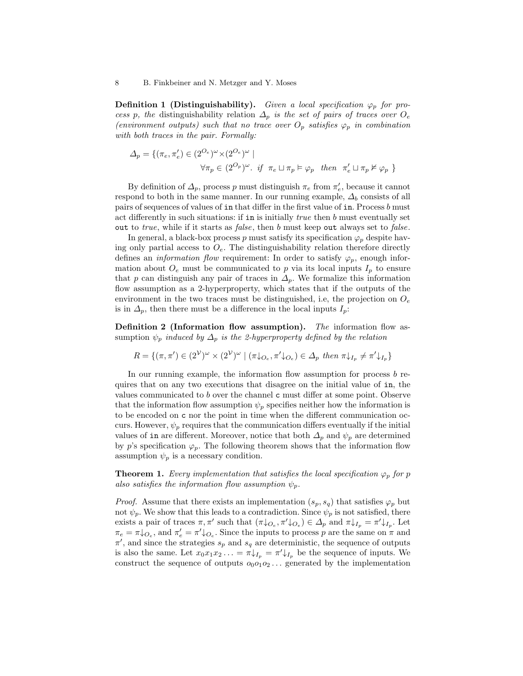**Definition 1 (Distinguishability).** Given a local specification  $\varphi_p$  for process p, the distinguishability relation  $\Delta_p$  is the set of pairs of traces over  $O_e$ (environment outputs) such that no trace over  $O_p$  satisfies  $\varphi_p$  in combination with both traces in the pair. Formally:

$$
\Delta_p = \{ (\pi_e, \pi'_e) \in (2^{O_e})^{\omega} \times (2^{O_e})^{\omega} \mid
$$
  

$$
\forall \pi_p \in (2^{O_p})^{\omega}. \text{ if } \pi_e \sqcup \pi_p \models \varphi_p \text{ then } \pi'_e \sqcup \pi_p \nvDash \varphi_p \}
$$

By definition of  $\Delta_p$ , process p must distinguish  $\pi_e$  from  $\pi'_e$ , because it cannot respond to both in the same manner. In our running example,  $\Delta_b$  consists of all pairs of sequences of values of in that differ in the first value of in. Process b must act differently in such situations: if in is initially true then b must eventually set out to *true*, while if it starts as  $false$ , then b must keep out always set to false.

In general, a black-box process p must satisfy its specification  $\varphi_p$  despite having only partial access to  $O<sub>e</sub>$ . The distinguishability relation therefore directly defines an *information flow* requirement: In order to satisfy  $\varphi_p$ , enough information about  $O_e$  must be communicated to p via its local inputs  $I_p$  to ensure that p can distinguish any pair of traces in  $\Delta_p$ . We formalize this information flow assumption as a 2-hyperproperty, which states that if the outputs of the environment in the two traces must be distinguished, i.e, the projection on  $O_e$ is in  $\Delta_p$ , then there must be a difference in the local inputs  $I_p$ :

Definition 2 (Information flow assumption). The information flow assumption  $\psi_p$  induced by  $\Delta_p$  is the 2-hyperproperty defined by the relation

$$
R = \{ (\pi, \pi') \in (2^{\mathcal{V}})^{\omega} \times (2^{\mathcal{V}})^{\omega} \mid (\pi \downarrow_{O_e}, \pi' \downarrow_{O_e}) \in \Delta_p \text{ then } \pi \downarrow_{I_p} \neq \pi' \downarrow_{I_p} \}
$$

In our running example, the information flow assumption for process  $\mathfrak{b}$  requires that on any two executions that disagree on the initial value of in, the values communicated to b over the channel c must differ at some point. Observe that the information flow assumption  $\psi_p$  specifies neither how the information is to be encoded on c nor the point in time when the different communication occurs. However,  $\psi_p$  requires that the communication differs eventually if the initial values of in are different. Moreover, notice that both  $\Delta_p$  and  $\psi_p$  are determined by p's specification  $\varphi_p$ . The following theorem shows that the information flow assumption  $\psi_p$  is a necessary condition.

<span id="page-7-0"></span>**Theorem 1.** Every implementation that satisfies the local specification  $\varphi_p$  for p also satisfies the information flow assumption  $\psi_p$ .

*Proof.* Assume that there exists an implementation  $(s_p, s_q)$  that satisfies  $\varphi_p$  but not  $\psi_p$ . We show that this leads to a contradiction. Since  $\psi_p$  is not satisfied, there exists a pair of traces  $\pi, \pi'$  such that  $(\pi \downarrow_{O_e}, \pi' \downarrow_{O_e}) \in \Delta_p$  and  $\pi \downarrow_{I_p} = \pi' \downarrow_{I_p}$ . Let  $\pi_e = \pi \downarrow_{O_e}$ , and  $\pi'_e = \pi' \downarrow_{O_e}$ . Since the inputs to process p are the same on  $\pi$  and  $\pi'$ , and since the strategies  $s_p$  and  $s_q$  are deterministic, the sequence of outputs is also the same. Let  $x_0x_1x_2... = \pi \downarrow_{I_p} = \pi' \downarrow_{I_p}$  be the sequence of inputs. We construct the sequence of outputs  $o_0o_1o_2 \ldots$  generated by the implementation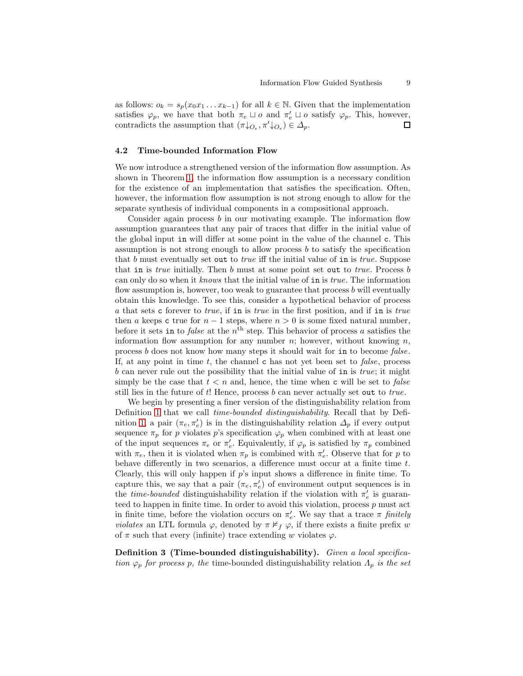as follows:  $o_k = s_p(x_0x_1 \ldots x_{k-1})$  for all  $k \in \mathbb{N}$ . Given that the implementation satisfies  $\varphi_p$ , we have that both  $\pi_e \sqcup o$  and  $\pi'_e \sqcup o$  satisfy  $\varphi_p$ . This, however, contradicts the assumption that  $(\pi \downarrow_{O_e}, \pi' \downarrow_{O_e}) \in \Delta_p$ .  $\Box$ 

#### <span id="page-8-0"></span>4.2 Time-bounded Information Flow

We now introduce a strengthened version of the information flow assumption. As shown in Theorem [1,](#page-7-0) the information flow assumption is a necessary condition for the existence of an implementation that satisfies the specification. Often, however, the information flow assumption is not strong enough to allow for the separate synthesis of individual components in a compositional approach.

Consider again process  $b$  in our motivating example. The information flow assumption guarantees that any pair of traces that differ in the initial value of the global input in will differ at some point in the value of the channel c. This assumption is not strong enough to allow process  $b$  to satisfy the specification that b must eventually set out to *true* iff the initial value of in is *true*. Suppose that in is *true* initially. Then b must at some point set out to *true*. Process b can only do so when it knows that the initial value of in is true. The information flow assumption is, however, too weak to guarantee that process  $b$  will eventually obtain this knowledge. To see this, consider a hypothetical behavior of process a that sets c forever to true, if in is true in the first position, and if in is true then a keeps c true for  $n-1$  steps, where  $n > 0$  is some fixed natural number, before it sets in to *false* at the  $n^{\text{th}}$  step. This behavior of process a satisfies the information flow assumption for any number  $n$ ; however, without knowing  $n$ , process b does not know how many steps it should wait for in to become false. If, at any point in time  $t$ , the channel c has not yet been set to *false*, process b can never rule out the possibility that the initial value of in is  $true$ ; it might simply be the case that  $t < n$  and, hence, the time when c will be set to *false* still lies in the future of  $t!$  Hence, process  $b$  can never actually set out to true.

We begin by presenting a finer version of the distinguishability relation from Definition [1](#page-6-1) that we call time-bounded distinguishability. Recall that by Defi-nition [1,](#page-6-1) a pair  $(\pi_e, \pi'_e)$  is in the distinguishability relation  $\Delta_p$  if every output sequence  $\pi_p$  for p violates p's specification  $\varphi_p$  when combined with at least one of the input sequences  $\pi_e$  or  $\pi'_e$ . Equivalently, if  $\varphi_p$  is satisfied by  $\pi_p$  combined with  $\pi_e$ , then it is violated when  $\pi_p$  is combined with  $\pi'_e$ . Observe that for p to behave differently in two scenarios, a difference must occur at a finite time t. Clearly, this will only happen if  $p$ 's input shows a difference in finite time. To capture this, we say that a pair  $(\pi_e, \pi'_e)$  of environment output sequences is in the *time-bounded* distinguishability relation if the violation with  $\pi'_e$  is guaranteed to happen in finite time. In order to avoid this violation, process  $p$  must act in finite time, before the violation occurs on  $\pi'_{e}$ . We say that a trace  $\pi$  finitely *violates* an LTL formula  $\varphi$ , denoted by  $\pi \not\vDash_f \varphi$ , if there exists a finite prefix w of  $\pi$  such that every (infinite) trace extending w violates  $\varphi$ .

Definition 3 (Time-bounded distinguishability). Given a local specification  $\varphi_p$  for process p, the time-bounded distinguishability relation  $\Lambda_p$  is the set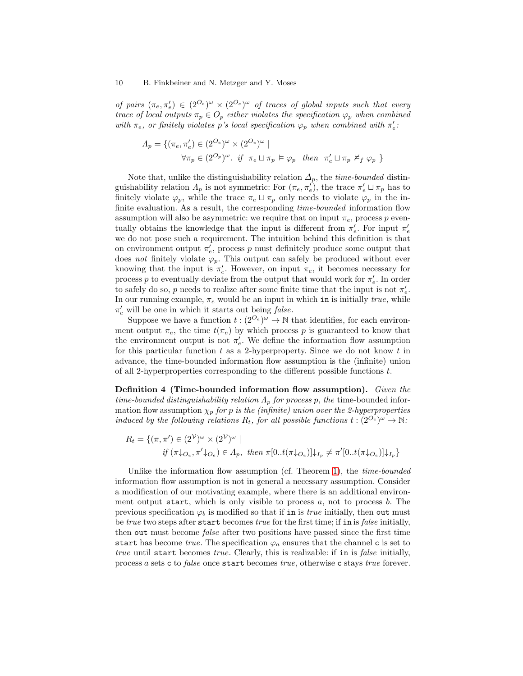of pairs  $(\pi_e, \pi'_e) \in (2^{O_e})^{\omega} \times (2^{O_e})^{\omega}$  of traces of global inputs such that every trace of local outputs  $\pi_p \in O_p$  either violates the specification  $\varphi_p$  when combined with  $\pi_e$ , or finitely violates p's local specification  $\varphi_p$  when combined with  $\pi'_e$ :

$$
A_p = \{ (\pi_e, \pi'_e) \in (2^{O_e})^{\omega} \times (2^{O_e})^{\omega} \mid
$$
  

$$
\forall \pi_p \in (2^{O_p})^{\omega} \text{. if } \pi_e \sqcup \pi_p \models \varphi_p \text{ then } \pi'_e \sqcup \pi_p \nvDash_f \varphi_p \}
$$

Note that, unlike the distinguishability relation  $\Delta_p$ , the *time-bounded* distinguishability relation  $\Lambda_p$  is not symmetric: For  $(\pi_e, \pi'_e)$ , the trace  $\pi'_e \sqcup \pi_p$  has to finitely violate  $\varphi_p$ , while the trace  $\pi_e \sqcup \pi_p$  only needs to violate  $\varphi_p$  in the infinite evaluation. As a result, the corresponding *time-bounded* information flow assumption will also be asymmetric: we require that on input  $\pi_e$ , process p eventually obtains the knowledge that the input is different from  $\pi'_{e}$ . For input  $\pi'_{e}$ we do not pose such a requirement. The intuition behind this definition is that on environment output  $\pi'_e$ , process  $p$  must definitely produce some output that does not finitely violate  $\varphi_p$ . This output can safely be produced without ever knowing that the input is  $\pi'_e$ . However, on input  $\pi_e$ , it becomes necessary for process  $p$  to eventually deviate from the output that would work for  $\pi'_e$ . In order to safely do so,  $p$  needs to realize after some finite time that the input is not  $\pi'_e$ . In our running example,  $\pi_e$  would be an input in which in is initially true, while  $\pi'_e$  will be one in which it starts out being *false*.

Suppose we have a function  $t:(2^{O_e})^{\omega} \to \mathbb{N}$  that identifies, for each environment output  $\pi_e$ , the time  $t(\pi_e)$  by which process p is guaranteed to know that the environment output is not  $\pi'_e$ . We define the information flow assumption for this particular function  $t$  as a 2-hyperproperty. Since we do not know  $t$  in advance, the time-bounded information flow assumption is the (infinite) union of all 2-hyperproperties corresponding to the different possible functions  $t$ .

<span id="page-9-0"></span>Definition 4 (Time-bounded information flow assumption). Given the time-bounded distinguishability relation  $\Lambda_p$  for process p, the time-bounded information flow assumption  $\chi_p$  for p is the (infinite) union over the 2-hyperproperties induced by the following relations  $R_t$ , for all possible functions  $t:(2^{O_e})^{\omega}\to\mathbb{N}$ :

$$
R_t = \{ (\pi, \pi') \in (2^{\mathcal{V}})^{\omega} \times (2^{\mathcal{V}})^{\omega} \mid
$$
  
if  $(\pi \downarrow_{O_e}, \pi' \downarrow_{O_e}) \in \Lambda_p$ , then  $\pi[0..t(\pi \downarrow_{O_e})] \downarrow_{I_p} \neq \pi'[0..t(\pi \downarrow_{O_e})] \downarrow_{I_p} \}$ 

Unlike the information flow assumption (cf. Theorem [1\)](#page-7-0), the *time-bounded* information flow assumption is not in general a necessary assumption. Consider a modification of our motivating example, where there is an additional environment output start, which is only visible to process  $a$ , not to process  $b$ . The previous specification  $\varphi_b$  is modified so that if in is *true* initially, then out must be true two steps after start becomes true for the first time; if in is false initially, then out must become *false* after two positions have passed since the first time start has become true. The specification  $\varphi_a$  ensures that the channel c is set to true until start becomes true. Clearly, this is realizable: if in is false initially, process a sets c to false once start becomes true, otherwise c stays true forever.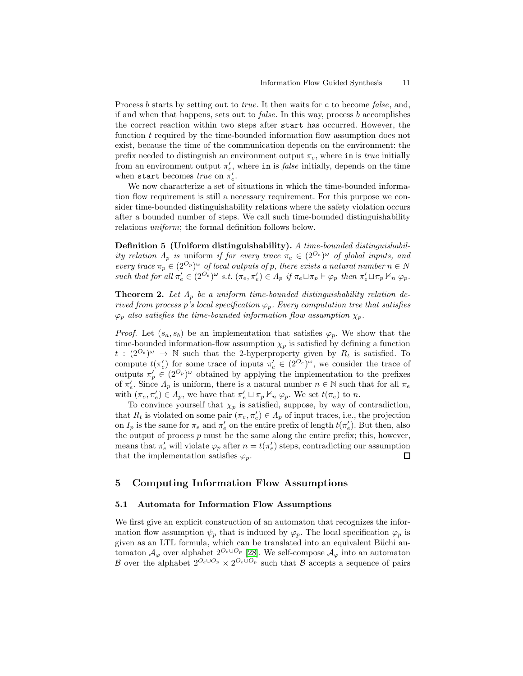Process b starts by setting out to *true*. It then waits for c to become *false*, and, if and when that happens, sets out to *false*. In this way, process b accomplishes the correct reaction within two steps after start has occurred. However, the function t required by the time-bounded information flow assumption does not exist, because the time of the communication depends on the environment: the prefix needed to distinguish an environment output  $\pi_e$ , where in is *true* initially from an environment output  $\pi'_e$ , where in is *false* initially, depends on the time when start becomes  $true$  on  $\pi'_e$ .

We now characterize a set of situations in which the time-bounded information flow requirement is still a necessary requirement. For this purpose we consider time-bounded distinguishability relations where the safety violation occurs after a bounded number of steps. We call such time-bounded distinguishability relations uniform; the formal definition follows below.

Definition 5 (Uniform distinguishability). A time-bounded distinguishability relation  $\Lambda_p$  is uniform if for every trace  $\pi_e \in (2^{O_e})^{\omega}$  of global inputs, and every trace  $\pi_p \in (2^{O_p})^{\omega}$  of local outputs of p, there exists a natural number  $n \in N$ such that for all  $\pi'_e \in (2^{O_e})^{\omega}$  s.t.  $(\pi_e, \pi'_e) \in A_p$  if  $\pi_e \sqcup \pi_p \models \varphi_p$  then  $\pi'_e \sqcup \pi_p \nvDash_n \varphi_p$ .

**Theorem 2.** Let  $\Lambda_p$  be a uniform time-bounded distinguishability relation derived from process p's local specification  $\varphi_p$ . Every computation tree that satisfies  $\varphi_p$  also satisfies the time-bounded information flow assumption  $\chi_p$ .

*Proof.* Let  $(s_a, s_b)$  be an implementation that satisfies  $\varphi_p$ . We show that the time-bounded information-flow assumption  $\chi_p$  is satisfied by defining a function  $t : (2^{O_e})^{\omega} \rightarrow \mathbb{N}$  such that the 2-hyperproperty given by  $R_t$  is satisfied. To compute  $t(\pi'_e)$  for some trace of inputs  $\pi'_e \in (2^{O_e})^{\omega}$ , we consider the trace of outputs  $\pi'_p \in (2^{\mathcal{O}_p})^{\omega}$  obtained by applying the implementation to the prefixes of  $\pi'_e$ . Since  $\Lambda_p$  is uniform, there is a natural number  $n \in \mathbb{N}$  such that for all  $\pi_e$ with  $(\pi_e, \pi'_e) \in A_p$ , we have that  $\pi'_e \sqcup \pi_p \nvdash_n \varphi_p$ . We set  $t(\pi_e)$  to n.

To convince yourself that  $\chi_p$  is satisfied, suppose, by way of contradiction, that  $R_t$  is violated on some pair  $(\pi_e, \pi'_e) \in A_p$  of input traces, i.e., the projection on  $I_p$  is the same for  $\pi_e$  and  $\pi'_e$  on the entire prefix of length  $t(\pi'_e)$ . But then, also the output of process  $p$  must be the same along the entire prefix; this, however, means that  $\pi'_e$  will violate  $\varphi_p$  after  $n = t(\pi'_e)$  steps, contradicting our assumption that the implementation satisfies  $\varphi_n$ . □

## 5 Computing Information Flow Assumptions

#### 5.1 Automata for Information Flow Assumptions

We first give an explicit construction of an automaton that recognizes the information flow assumption  $\psi_p$  that is induced by  $\varphi_p$ . The local specification  $\varphi_p$  is given as an LTL formula, which can be translated into an equivalent Büchi automaton  $\mathcal{A}_{\varphi}$  over alphabet  $2^{O_e \cup O_p}$  [\[28\]](#page-25-4). We self-compose  $\mathcal{A}_{\varphi}$  into an automaton B over the alphabet  $2^{O_e \cup O_p} \times 2^{O_e \cup O_p}$  such that B accepts a sequence of pairs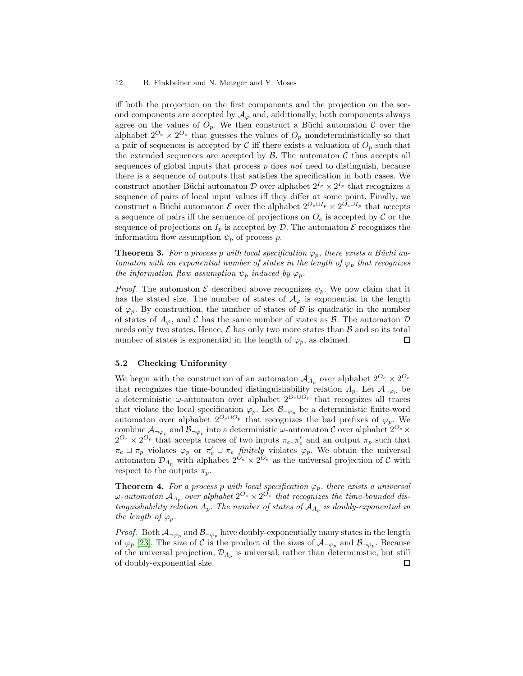iff both the projection on the first components and the projection on the second components are accepted by  $\mathcal{A}_{\varphi}$  and, additionally, both components always agree on the values of  $O_p$ . We then construct a Büchi automaton C over the alphabet  $2^{O_e} \times 2^{O_e}$  that guesses the values of  $O_p$  nondeterministically so that a pair of sequences is accepted by C iff there exists a valuation of  $O_p$  such that the extended sequences are accepted by  $\mathcal{B}$ . The automaton  $\mathcal{C}$  thus accepts all sequences of global inputs that process  $p$  does not need to distinguish, because there is a sequence of outputs that satisfies the specification in both cases. We construct another Büchi automaton  $\mathcal{D}$  over alphabet  $2^{I_p} \times 2^{I_p}$  that recognizes a sequence of pairs of local input values iff they differ at some point. Finally, we construct a Büchi automaton  $\mathcal E$  over the alphabet  $2^{O_e \cup I_p} \times 2^{O_e \cup I_p}$  that accepts a sequence of pairs iff the sequence of projections on  $O_e$  is accepted by C or the sequence of projections on  $I_p$  is accepted by  $\mathcal D$ . The automaton  $\mathcal E$  recognizes the information flow assumption  $\psi_p$  of process p.

**Theorem 3.** For a process p with local specification  $\varphi_p$ , there exists a Büchi automaton with an exponential number of states in the length of  $\varphi_p$  that recognizes the information flow assumption  $\psi_p$  induced by  $\varphi_p$ .

*Proof.* The automaton  $\mathcal E$  described above recognizes  $\psi_p$ . We now claim that it has the stated size. The number of states of  $\mathcal{A}_{\varphi}$  is exponential in the length of  $\varphi_p$ . By construction, the number of states of  $\beta$  is quadratic in the number of states of  $A_{\varphi}$ , and C has the same number of states as  $\beta$ . The automaton  $\mathcal D$ needs only two states. Hence,  $\mathcal E$  has only two more states than  $\mathcal B$  and so its total number of states is exponential in the length of  $\varphi_p$ , as claimed. □

#### 5.2 Checking Uniformity

We begin with the construction of an automaton  $\mathcal{A}_{A_p}$  over alphabet  $2^{O_e} \times 2^{O_e}$ that recognizes the time-bounded distinguishability relation  $\Lambda_p$ . Let  $\mathcal{A}_{\neg \varphi_p}$  be a deterministic  $\omega$ -automaton over alphabet  $2^{O_e \cup O_p}$  that recognizes all traces that violate the local specification  $\varphi_p$ . Let  $\mathcal{B}_{\neg \varphi_p}$  be a deterministic finite-word automaton over alphabet  $2^{O_e \cup O_p}$  that recognizes the bad prefixes of  $\varphi_p$ . We combine  $\mathcal{A}_{\neg\varphi_p}$  and  $\mathcal{B}_{\neg\varphi_p}$  into a deterministic  $\omega$ -automaton  $\mathcal C$  over alphabet  $2^{O_e}\times$  $2^{O_e} \times 2^{O_p}$  that accepts traces of two inputs  $\pi_e, \pi'_e$  and an output  $\pi_p$  such that  $\pi_e \sqcup \pi_p$  violates  $\varphi_p$  or  $\pi'_e \sqcup \pi_e$  *finitely* violates  $\varphi_p$ . We obtain the universal automaton  $\mathcal{D}_{A_p}$  with alphabet  $2^{O_e} \times 2^{O_e}$  as the universal projection of C with respect to the outputs  $\pi_p$ .

<span id="page-11-0"></span>**Theorem 4.** For a process p with local specification  $\varphi_p$ , there exists a universal w-automaton  $\mathcal{A}_{A_p}$  over alphabet  $2^{O_e}\times 2^{O_e}$  that recognizes the time-bounded distinguishability relation  $\Lambda_p$ . The number of states of  $\mathcal{A}_{\Lambda_p}$  is doubly-exponential in the length of  $\varphi_p$ .

*Proof.* Both  $\mathcal{A}_{\neg \varphi_p}$  and  $\mathcal{B}_{\neg \varphi_p}$  have doubly-exponentially many states in the length of  $\varphi_p$  [23]. The size of C is the product of the sizes of  $\mathcal{A}_{\neg \varphi_p}$  and  $\mathcal{B}_{\neg \varphi_p}$ . Because of the universal projection,  $\mathcal{D}_{\Lambda_p}$  is universal, rather than deterministic, but still of doubly-exponential size.口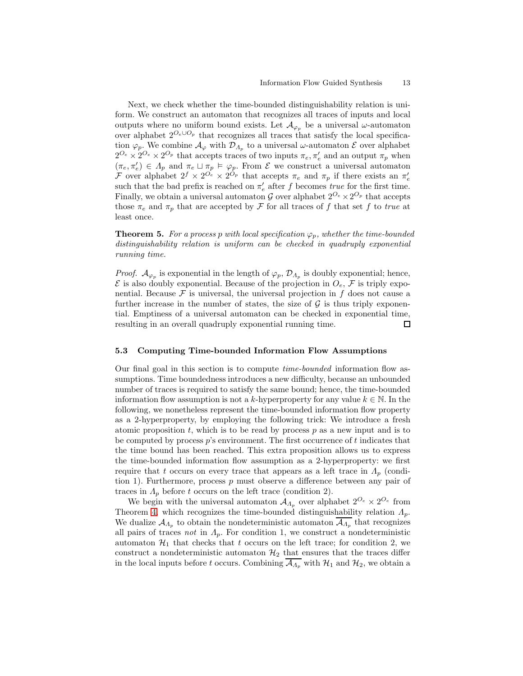Next, we check whether the time-bounded distinguishability relation is uniform. We construct an automaton that recognizes all traces of inputs and local outputs where no uniform bound exists. Let  $\mathcal{A}_{\varphi_p}$  be a universal  $\omega$ -automaton over alphabet  $2^{O_e \cup O_p}$  that recognizes all traces that satisfy the local specification  $\varphi_p$ . We combine  $\mathcal{A}_{\varphi}$  with  $\mathcal{D}_{A_p}$  to a universal  $\omega$ -automaton  $\mathcal E$  over alphabet  $2^{O_e} \times 2^{O_e} \times 2^{O_p}$  that accepts traces of two inputs  $\pi_e, \pi'_e$  and an output  $\pi_p$  when  $(\pi_e, \pi'_e) \in A_p$  and  $\pi_e \sqcup \pi_p \models \varphi_p$ . From  $\mathcal E$  we construct a universal automaton F over alphabet  $2^f \times 2^{O_e} \times 2^{O_p}$  that accepts  $\pi_e$  and  $\pi_p$  if there exists an  $\pi'_e$ such that the bad prefix is reached on  $\pi'_e$  after f becomes true for the first time. Finally, we obtain a universal automaton  $\mathcal G$  over alphabet  $2^{O_e} \times 2^{O_p}$  that accepts those  $\pi_e$  and  $\pi_p$  that are accepted by F for all traces of f that set f to true at least once.

**Theorem 5.** For a process p with local specification  $\varphi_p$ , whether the time-bounded distinguishability relation is uniform can be checked in quadruply exponential running time.

*Proof.*  $\mathcal{A}_{\varphi_p}$  is exponential in the length of  $\varphi_p$ ,  $\mathcal{D}_{\Lambda_p}$  is doubly exponential; hence,  $\mathcal E$  is also doubly exponential. Because of the projection in  $O_e$ ,  $\mathcal F$  is triply exponential. Because  $\mathcal F$  is universal, the universal projection in  $f$  does not cause a further increase in the number of states, the size of  $\mathcal G$  is thus triply exponential. Emptiness of a universal automaton can be checked in exponential time, resulting in an overall quadruply exponential running time.  $\Box$ 

#### 5.3 Computing Time-bounded Information Flow Assumptions

Our final goal in this section is to compute time-bounded information flow assumptions. Time boundedness introduces a new difficulty, because an unbounded number of traces is required to satisfy the same bound; hence, the time-bounded information flow assumption is not a k-hyperproperty for any value  $k \in \mathbb{N}$ . In the following, we nonetheless represent the time-bounded information flow property as a 2-hyperproperty, by employing the following trick: We introduce a fresh atomic proposition t, which is to be read by process  $p$  as a new input and is to be computed by process  $p$ 's environment. The first occurrence of  $t$  indicates that the time bound has been reached. This extra proposition allows us to express the time-bounded information flow assumption as a 2-hyperproperty: we first require that t occurs on every trace that appears as a left trace in  $\Lambda_p$  (condition 1). Furthermore, process  $p$  must observe a difference between any pair of traces in  $\Lambda_p$  before t occurs on the left trace (condition 2).

We begin with the universal automaton  $\mathcal{A}_{A_p}$  over alphabet  $2^{O_e} \times 2^{O_e}$  from Theorem [4,](#page-11-0) which recognizes the time-bounded distinguishability relation  $\Lambda_p$ . We dualize  $A_{A_p}$  to obtain the nondeterministic automaton  $A_{A_p}$  that recognizes all pairs of traces *not* in  $\Lambda_p$ . For condition 1, we construct a nondeterministic automaton  $\mathcal{H}_1$  that checks that t occurs on the left trace; for condition 2, we construct a nondeterministic automaton  $\mathcal{H}_2$  that ensures that the traces differ in the local inputs before t occurs. Combining  $\overline{\mathcal{A}_{A_p}}$  with  $\mathcal{H}_1$  and  $\mathcal{H}_2$ , we obtain a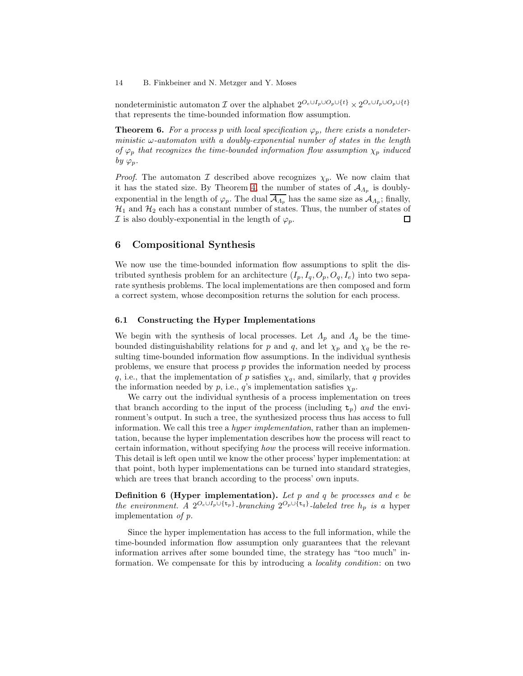nondeterministic automaton *I* over the alphabet  $2^{O_e \cup I_p \cup O_p \cup \{t\}} \times 2^{O_e \cup I_p \cup O_p \cup \{t\}}$ that represents the time-bounded information flow assumption.

**Theorem 6.** For a process p with local specification  $\varphi_p$ , there exists a nondeterministic  $\omega$ -automaton with a doubly-exponential number of states in the length of  $\varphi_p$  that recognizes the time-bounded information flow assumption  $\chi_p$  induced by  $\varphi_p$ .

*Proof.* The automaton I described above recognizes  $\chi_p$ . We now claim that it has the stated size. By Theorem [4,](#page-11-0) the number of states of  $\mathcal{A}_{A_p}$  is doublyexponential in the length of  $\varphi_p$ . The dual  $\mathcal{A}_{A_p}$  has the same size as  $\mathcal{A}_{A_p}$ ; finally,  $\mathcal{H}_1$  and  $\mathcal{H}_2$  each has a constant number of states. Thus, the number of states of I is also doubly-exponential in the length of  $\varphi_p$ .  $\Box$ 

## <span id="page-13-0"></span>6 Compositional Synthesis

We now use the time-bounded information flow assumptions to split the distributed synthesis problem for an architecture  $(I_p, I_q, O_p, O_q, I_e)$  into two separate synthesis problems. The local implementations are then composed and form a correct system, whose decomposition returns the solution for each process.

#### 6.1 Constructing the Hyper Implementations

We begin with the synthesis of local processes. Let  $\Lambda_p$  and  $\Lambda_q$  be the timebounded distinguishability relations for p and q, and let  $\chi_p$  and  $\chi_q$  be the resulting time-bounded information flow assumptions. In the individual synthesis problems, we ensure that process p provides the information needed by process q, i.e., that the implementation of p satisfies  $\chi_q$ , and, similarly, that q provides the information needed by p, i.e., q's implementation satisfies  $\chi_p$ .

We carry out the individual synthesis of a process implementation on trees that branch according to the input of the process (including  $t_p$ ) and the environment's output. In such a tree, the synthesized process thus has access to full information. We call this tree a *hyper implementation*, rather than an implementation, because the hyper implementation describes how the process will react to certain information, without specifying how the process will receive information. This detail is left open until we know the other process' hyper implementation: at that point, both hyper implementations can be turned into standard strategies, which are trees that branch according to the process' own inputs.

**Definition 6 (Hyper implementation).** Let  $p$  and  $q$  be processes and  $e$  be the environment. A 2<sup>O<sub>e∪Ip</sub>∪{t<sub>p</sub>}</sup>-branching 2<sup>O<sub>p</sub>∪{t<sub>q</sub>}-labeled tree  $h_p$  is a hyper</sup> implementation of p.

Since the hyper implementation has access to the full information, while the time-bounded information flow assumption only guarantees that the relevant information arrives after some bounded time, the strategy has "too much" information. We compensate for this by introducing a locality condition: on two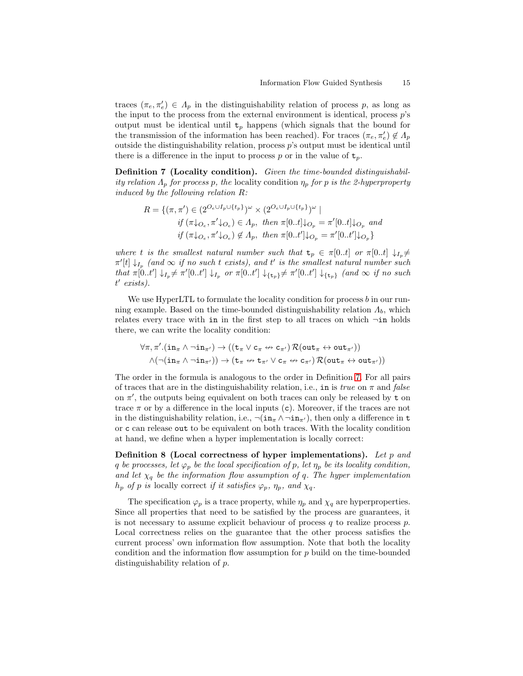traces  $(\pi_e, \pi'_e) \in A_p$  in the distinguishability relation of process p, as long as the input to the process from the external environment is identical, process  $p$ 's output must be identical until  $t_p$  happens (which signals that the bound for the transmission of the information has been reached). For traces  $(\pi_e, \pi'_e) \notin \Lambda_p$ outside the distinguishability relation, process  $p$ 's output must be identical until there is a difference in the input to process p or in the value of  $t_p$ .

<span id="page-14-0"></span>Definition 7 (Locality condition). Given the time-bounded distinguishability relation  $\Lambda_p$  for process p, the locality condition  $\eta_p$  for p is the 2-hyperproperty induced by the following relation R:

$$
R = \{ (\pi, \pi') \in (2^{O_e \cup I_p \cup \{t_p\}})^{\omega} \times (2^{O_e \cup I_p \cup \{t_p\}})^{\omega} |
$$
  
\nif  $(\pi \downarrow_{O_e}, \pi' \downarrow_{O_e}) \in \Lambda_p$ , then  $\pi[0..t] \downarrow_{O_p} = \pi'[0..t] \downarrow_{O_p}$  and  
\nif  $(\pi \downarrow_{O_e}, \pi' \downarrow_{O_e}) \notin \Lambda_p$ , then  $\pi[0..t'] \downarrow_{O_p} = \pi'[0..t'] \downarrow_{O_p}$ 

where t is the smallest natural number such that  $t_p \in \pi[0..t]$  or  $\pi[0..t] \downarrow_{I_p} \neq$  $\pi'[t] \downarrow_{I_p}$  (and  $\infty$  if no such t exists), and t' is the smallest natural number such that  $\pi[0..t'] \downarrow_{I_p} \neq \pi'[0..t'] \downarrow_{I_p} \text{ or } \pi[0..t'] \downarrow_{\{\mathtt{t}_p\}} \neq \pi'[0..t'] \downarrow_{\{\mathtt{t}_p\}} \text{ (and } \infty \text{ if no such})$ t ′ exists).

We use HyperLTL to formulate the locality condition for process  $b$  in our running example. Based on the time-bounded distinguishability relation  $\Lambda_b$ , which relates every trace with in in the first step to all traces on which  $\neg$ in holds there, we can write the locality condition:

$$
\forall \pi, \pi'.(in_{\pi} \land \neg in_{\pi'}) \rightarrow ((t_{\pi} \lor c_{\pi} \nleftrightarrow c_{\pi'}) \mathcal{R}(out_{\pi} \leftrightarrow out_{\pi'})) \\
\land (\neg (in_{\pi} \land \neg in_{\pi'})) \rightarrow (t_{\pi} \nleftrightarrow t_{\pi'} \lor c_{\pi} \nleftrightarrow c_{\pi'}) \mathcal{R}(out_{\pi} \leftrightarrow out_{\pi'}))
$$

The order in the formula is analogous to the order in Definition [7.](#page-14-0) For all pairs of traces that are in the distinguishability relation, i.e., in is true on  $\pi$  and false on  $\pi'$ , the outputs being equivalent on both traces can only be released by  $t$  on trace  $\pi$  or by a difference in the local inputs (c). Moreover, if the traces are not in the distinguishability relation, i.e.,  $\neg$ ( $in_{\pi} \land \neg in_{\pi'}$ ), then only a difference in t or c can release out to be equivalent on both traces. With the locality condition at hand, we define when a hyper implementation is locally correct:

Definition 8 (Local correctness of hyper implementations). Let p and q be processes, let  $\varphi_p$  be the local specification of p, let  $\eta_p$  be its locality condition, and let  $\chi_q$  be the information flow assumption of q. The hyper implementation  $h_p$  of p is locally correct if it satisfies  $\varphi_p$ ,  $\eta_p$ , and  $\chi_q$ .

The specification  $\varphi_p$  is a trace property, while  $\eta_p$  and  $\chi_q$  are hyperproperties. Since all properties that need to be satisfied by the process are guarantees, it is not necessary to assume explicit behaviour of process q to realize process  $p$ . Local correctness relies on the guarantee that the other process satisfies the current process' own information flow assumption. Note that both the locality condition and the information flow assumption for  $p$  build on the time-bounded distinguishability relation of p.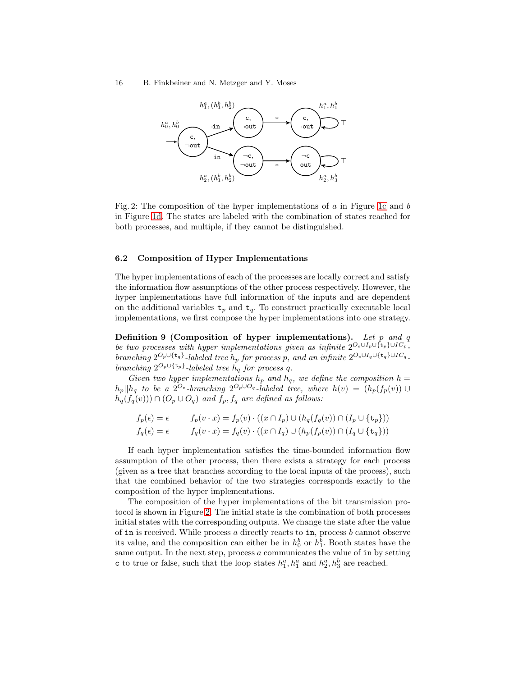<span id="page-15-0"></span>16 B. Finkbeiner and N. Metzger and Y. Moses



Fig. 2: The composition of the hyper implementations of  $a$  in Figure [1c](#page-4-0) and  $b$ in Figure [1d.](#page-4-0) The states are labeled with the combination of states reached for both processes, and multiple, if they cannot be distinguished.

#### 6.2 Composition of Hyper Implementations

The hyper implementations of each of the processes are locally correct and satisfy the information flow assumptions of the other process respectively. However, the hyper implementations have full information of the inputs and are dependent on the additional variables  $t_p$  and  $t_q$ . To construct practically executable local implementations, we first compose the hyper implementations into one strategy.

<span id="page-15-1"></span>Definition 9 (Composition of hyper implementations). Let  $p$  and  $q$ be two processes with hyper implementations given as infinite  $2^{O_e \cup I_p \cup \{\mathbf{t}_p\} \cup IC_p}$ . branching  $2^{O_p \cup \{t_q\}}$ -labeled tree  $h_p$  for process p, and an infinite  $2^{O_e \cup I_q \cup \{t_q\} \cup IC_q}$ branching  $2^{O_p \cup \{t_p\}}$ -labeled tree  $h_q$  for process q.

Given two hyper implementations  $h_p$  and  $h_q$ , we define the composition  $h =$  $h_p||h_q$  to be a  $2^{O_e}$ -branching  $2^{O_p \cup O_q}$ -labeled tree, where  $h(v) = (h_p(f_p(v)) \cup$  $h_q(f_q(v)) \cap (O_p \cup O_q)$  and  $f_p, f_q$  are defined as follows:

$$
f_p(\epsilon) = \epsilon
$$
  
\n
$$
f_p(v \cdot x) = f_p(v) \cdot ((x \cap I_p) \cup (h_q(f_q(v)) \cap (I_p \cup \{\mathbf{t}_p\}))
$$
  
\n
$$
f_q(\epsilon) = \epsilon
$$
  
\n
$$
f_q(v \cdot x) = f_q(v) \cdot ((x \cap I_q) \cup (h_p(f_p(v)) \cap (I_q \cup \{\mathbf{t}_q\}))
$$

If each hyper implementation satisfies the time-bounded information flow assumption of the other process, then there exists a strategy for each process (given as a tree that branches according to the local inputs of the process), such that the combined behavior of the two strategies corresponds exactly to the composition of the hyper implementations.

The composition of the hyper implementations of the bit transmission protocol is shown in Figure [2.](#page-15-0) The initial state is the combination of both processes initial states with the corresponding outputs. We change the state after the value of in is received. While process  $a$  directly reacts to in, process  $b$  cannot observe its value, and the composition can either be in  $h_0^b$  or  $h_1^b$ . Booth states have the same output. In the next step, process  $a$  communicates the value of in by setting **c** to true or false, such that the loop states  $h_1^a, h_1^a$  and  $h_2^a, h_3^b$  are reached.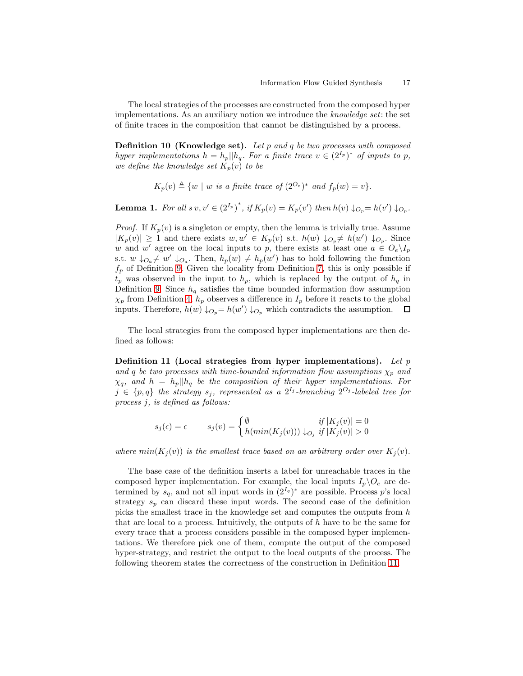<span id="page-16-2"></span>The local strategies of the processes are constructed from the composed hyper implementations. As an auxiliary notion we introduce the knowledge set: the set of finite traces in the composition that cannot be distinguished by a process.

**Definition 10 (Knowledge set).** Let  $p$  and  $q$  be two processes with composed hyper implementations  $h = h_p || h_q$ . For a finite trace  $v \in (2^{I_p})^*$  of inputs to p, we define the knowledge set  $K_p(v)$  to be

 $K_p(v) \triangleq \{w \mid w \text{ is a finite trace of } (2^{O_e})^* \text{ and } f_p(w) = v\}.$ 

<span id="page-16-3"></span>**Lemma 1.** For all  $s v, v' \in (2^{I_p})^*$ , if  $K_p(v) = K_p(v')$  then  $h(v) \downarrow_{O_p} = h(v') \downarrow_{O_p}$ .

*Proof.* If  $K_p(v)$  is a singleton or empty, then the lemma is trivially true. Assume  $|K_p(v)| \geq 1$  and there exists  $w, w' \in K_p(v)$  s.t.  $h(w) \downarrow_{O_p} \neq h(w') \downarrow_{O_p}$ . Since w and w' agree on the local inputs to p, there exists at least one  $a \in O_e\backslash I_p$ s.t.  $w \downarrow_{O_a} \neq w' \downarrow_{O_a}$ . Then,  $h_p(w) \neq h_p(w')$  has to hold following the function  $f_p$  of Definition [9.](#page-15-1) Given the locality from Definition [7,](#page-14-0) this is only possible if  $t_p$  was observed in the input to  $h_p$ , which is replaced by the output of  $h_q$  in Definition [9.](#page-15-1) Since  $h_q$  satisfies the time bounded information flow assumption  $\chi_p$  from Definition [4,](#page-9-0)  $h_p$  observes a difference in  $I_p$  before it reacts to the global inputs. Therefore,  $h(w) \downarrow_{O_p} = h(w') \downarrow_{O_p}$  which contradicts the assumption.  $\Box$ 

<span id="page-16-0"></span>The local strategies from the composed hyper implementations are then defined as follows:

Definition 11 (Local strategies from hyper implementations). Let  $p$ and q be two processes with time-bounded information flow assumptions  $\chi_p$  and  $\chi_q$ , and  $h = h_p || h_q$  be the composition of their hyper implementations. For  $j \in \{p, q\}$  the strategy  $s_j$ , represented as a  $2^{I_j}$ -branching  $2^{O_j}$ -labeled tree for process j, is defined as follows:

$$
s_j(\epsilon) = \epsilon \qquad s_j(v) = \begin{cases} \emptyset & \text{if } |K_j(v)| = 0\\ h(\min(K_j(v))) \downarrow_{O_j} \text{if } |K_j(v)| > 0 \end{cases}
$$

where  $min(K_i(v))$  is the smallest trace based on an arbitrary order over  $K_i(v)$ .

<span id="page-16-1"></span>The base case of the definition inserts a label for unreachable traces in the composed hyper implementation. For example, the local inputs  $I_p\backslash O_e$  are determined by  $s_q$ , and not all input words in  $(2^{I_q})^*$  are possible. Process p's local strategy  $s_p$  can discard these input words. The second case of the definition picks the smallest trace in the knowledge set and computes the outputs from h that are local to a process. Intuitively, the outputs of h have to be the same for every trace that a process considers possible in the composed hyper implementations. We therefore pick one of them, compute the output of the composed hyper-strategy, and restrict the output to the local outputs of the process. The following theorem states the correctness of the construction in Definition [11.](#page-16-0)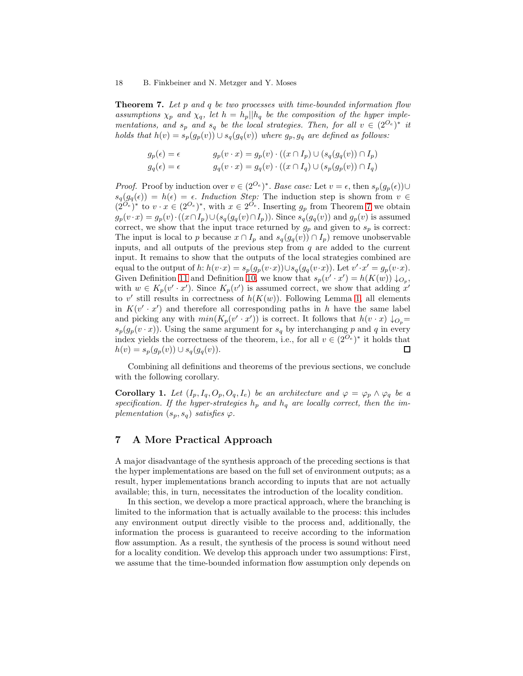18 B. Finkbeiner and N. Metzger and Y. Moses

**Theorem 7.** Let p and q be two processes with time-bounded information flow assumptions  $\chi_p$  and  $\chi_q$ , let  $h = h_p || h_q$  be the composition of the hyper implementations, and  $s_p$  and  $s_q$  be the local strategies. Then, for all  $v \in (2^{O_e})^*$  it holds that  $h(v) = s_p(g_p(v)) \cup s_q(g_q(v))$  where  $g_p, g_q$  are defined as follows:

$$
g_p(\epsilon) = \epsilon
$$
  
\n
$$
g_p(v \cdot x) = g_p(v) \cdot ((x \cap I_p) \cup (s_q(g_q(v)) \cap I_p)
$$
  
\n
$$
g_q(\epsilon) = \epsilon
$$
  
\n
$$
g_q(v \cdot x) = g_q(v) \cdot ((x \cap I_q) \cup (s_p(g_p(v)) \cap I_q)
$$

*Proof.* Proof by induction over  $v \in (2^{O_e})^*$ . Base case: Let  $v = \epsilon$ , then  $s_p(g_p(\epsilon)) \cup$  $s_q(g_q(\epsilon)) = h(\epsilon) = \epsilon$ . Induction Step: The induction step is shown from  $v \in$  $(2^{O_e})^*$  to  $v \cdot x \in (2^{O_e})^*$ , with  $x \in 2^{O_e}$ . Inserting  $g_p$  from Theorem [7](#page-16-1) we obtain  $g_p(v \cdot x) = g_p(v) \cdot ((x \cap I_p) \cup (s_q(g_q(v) \cap I_p))$ . Since  $s_q(g_q(v))$  and  $g_p(v)$  is assumed correct, we show that the input trace returned by  $g_p$  and given to  $s_p$  is correct: The input is local to p because  $x \cap I_p$  and  $s_q(g_q(v)) \cap I_p$  remove unobservable inputs, and all outputs of the previous step from  $q$  are added to the current input. It remains to show that the outputs of the local strategies combined are equal to the output of h:  $h(v \cdot x) = s_p(g_p(v \cdot x)) \cup s_q(g_q(v \cdot x))$ . Let  $v' \cdot x' = g_p(v \cdot x)$ . Given Definition [11](#page-16-0) and Definition [10,](#page-16-2) we know that  $s_p(v' \cdot x') = h(K(w)) \downarrow_{O_p}$ , with  $w \in K_p(v' \cdot x')$ . Since  $K_p(v')$  is assumed correct, we show that adding  $x'$ to v' still results in correctness of  $h(K(w))$ . Following Lemma [1,](#page-16-3) all elements in  $K(v' \cdot x')$  and therefore all corresponding paths in h have the same label and picking any with  $min(K_p(v' \cdot x'))$  is correct. It follows that  $h(v \cdot x) \downarrow_{O_p} =$  $s_p(g_p(v \cdot x))$ . Using the same argument for  $s_q$  by interchanging p and q in every index yields the correctness of the theorem, i.e., for all  $v \in (2^{O_e})^*$  it holds that  $h(v) = s_p(g_p(v)) \cup s_q(g_q(v)).$  $\Box$ 

Combining all definitions and theorems of the previous sections, we conclude with the following corollary.

**Corollary 1.** Let  $(I_p, I_q, O_p, O_q, I_e)$  be an architecture and  $\varphi = \varphi_p \wedge \varphi_q$  be a specification. If the hyper-strategies  $h_p$  and  $h_q$  are locally correct, then the implementation  $(s_p, s_q)$  satisfies  $\varphi$ .

## <span id="page-17-0"></span>7 A More Practical Approach

A major disadvantage of the synthesis approach of the preceding sections is that the hyper implementations are based on the full set of environment outputs; as a result, hyper implementations branch according to inputs that are not actually available; this, in turn, necessitates the introduction of the locality condition.

In this section, we develop a more practical approach, where the branching is limited to the information that is actually available to the process: this includes any environment output directly visible to the process and, additionally, the information the process is guaranteed to receive according to the information flow assumption. As a result, the synthesis of the process is sound without need for a locality condition. We develop this approach under two assumptions: First, we assume that the time-bounded information flow assumption only depends on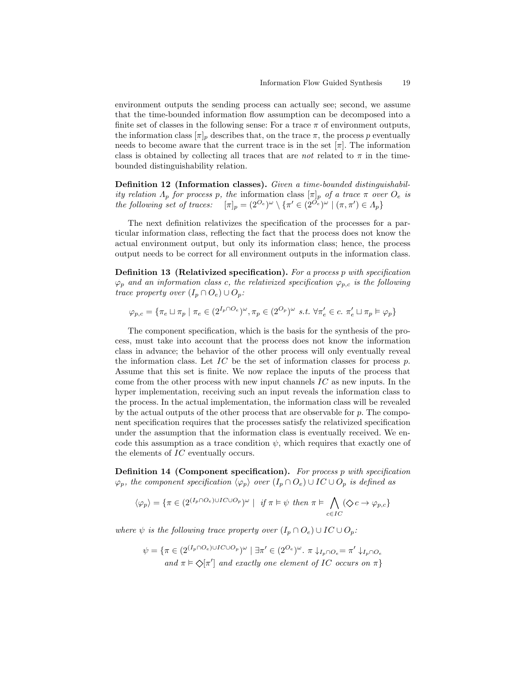environment outputs the sending process can actually see; second, we assume that the time-bounded information flow assumption can be decomposed into a finite set of classes in the following sense: For a trace  $\pi$  of environment outputs, the information class  $[\pi]_p$  describes that, on the trace  $\pi$ , the process p eventually needs to become aware that the current trace is in the set  $[\pi]$ . The information class is obtained by collecting all traces that are *not* related to  $\pi$  in the timebounded distinguishability relation.

Definition 12 (Information classes). Given a time-bounded distinguishability relation  $\Lambda_p$  for process p, the information class  $[\pi]_p$  of a trace  $\pi$  over  $O_e$  is the following set of traces:  $[\pi]_p = (2^{O_e})^{\omega} \setminus {\{\pi' \in (2^{O_e})^{\omega} \mid (\pi, \pi') \in \Lambda_p\}}$ 

The next definition relativizes the specification of the processes for a particular information class, reflecting the fact that the process does not know the actual environment output, but only its information class; hence, the process output needs to be correct for all environment outputs in the information class.

Definition 13 (Relativized specification). For a process p with specification  $\varphi_p$  and an information class c, the relativized specification  $\varphi_{p,c}$  is the following trace property over  $(I_p \cap O_e) \cup O_p$ :

$$
\varphi_{p,c} = \{ \pi_e \sqcup \pi_p \mid \pi_e \in (2^{I_p \cap O_e})^{\omega}, \pi_p \in (2^{O_p})^{\omega} \text{ s.t. } \forall \pi'_e \in c. \ \pi'_e \sqcup \pi_p \models \varphi_p \}
$$

The component specification, which is the basis for the synthesis of the process, must take into account that the process does not know the information class in advance; the behavior of the other process will only eventually reveal the information class. Let  $IC$  be the set of information classes for process  $p$ . Assume that this set is finite. We now replace the inputs of the process that come from the other process with new input channels  $IC$  as new inputs. In the hyper implementation, receiving such an input reveals the information class to the process. In the actual implementation, the information class will be revealed by the actual outputs of the other process that are observable for  $p$ . The component specification requires that the processes satisfy the relativized specification under the assumption that the information class is eventually received. We encode this assumption as a trace condition  $\psi$ , which requires that exactly one of the elements of IC eventually occurs.

<span id="page-18-0"></span>Definition 14 (Component specification). For process p with specification  $\varphi_p$ , the component specification  $\langle \varphi_p \rangle$  over  $(I_p \cap O_e) \cup IC \cup O_p$  is defined as

$$
\langle \varphi_p \rangle = \{ \pi \in (2^{(I_p \cap O_e) \cup IC \cup O_p})^{\omega} \mid \text{ if } \pi \models \psi \text{ then } \pi \models \bigwedge_{c \in IC} (\Diamond c \rightarrow \varphi_{p,c})
$$

where  $\psi$  is the following trace property over  $(I_p \cap O_e) \cup IC \cup O_p$ :

$$
\psi = \{ \pi \in (2^{(I_p \cap O_e) \cup IC \cup O_p})^{\omega} \mid \exists \pi' \in (2^{O_e})^{\omega}.\ \pi \downarrow_{I_p \cap O_e} = \pi' \downarrow_{I_p \cap O_e}
$$
  
and  $\pi \vDash \diamondsuit[\pi']$  and exactly one element of IC occurs on  $\pi \}$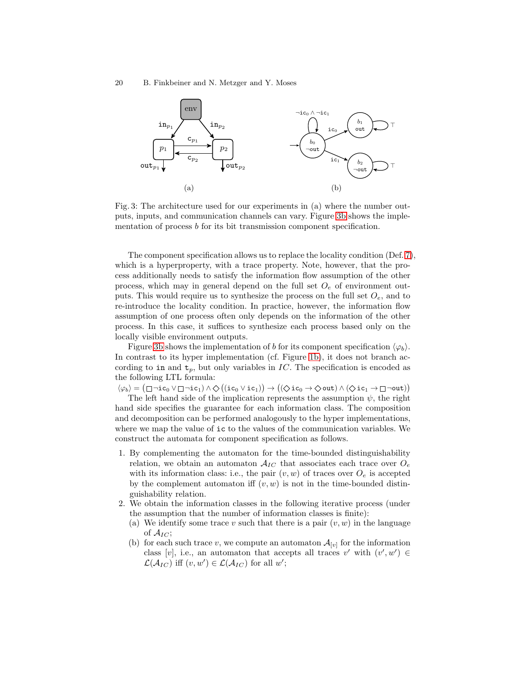<span id="page-19-0"></span>

Fig. 3: The architecture used for our experiments in (a) where the number outputs, inputs, and communication channels can vary. Figure [3b](#page-19-0) shows the implementation of process  $b$  for its bit transmission component specification.

The component specification allows us to replace the locality condition (Def. [7\)](#page-14-0), which is a hyperproperty, with a trace property. Note, however, that the process additionally needs to satisfy the information flow assumption of the other process, which may in general depend on the full set  $O<sub>e</sub>$  of environment outputs. This would require us to synthesize the process on the full set  $O<sub>e</sub>$ , and to re-introduce the locality condition. In practice, however, the information flow assumption of one process often only depends on the information of the other process. In this case, it suffices to synthesize each process based only on the locally visible environment outputs.

Figure [3b](#page-19-0) shows the implementation of b for its component specification  $\langle \varphi_b \rangle$ . In contrast to its hyper implementation (cf. Figure [1b\)](#page-4-0), it does not branch according to in and  $t_p$ , but only variables in IC. The specification is encoded as the following LTL formula:

 $\langle \varphi_b \rangle = (\Box \neg {\tt ic}_0 \vee \Box \neg {\tt ic}_1) \wedge \bigdiamondsuit (({\tt ic}_0 \vee {\tt ic}_1)) \rightarrow ((\diamondsuit {\tt ic}_0 \rightarrow \diamondsuit \text{out}) \wedge (\diamondsuit {\tt ic}_1 \rightarrow \Box \neg {\tt out}))$ 

The left hand side of the implication represents the assumption  $\psi$ , the right hand side specifies the guarantee for each information class. The composition and decomposition can be performed analogously to the hyper implementations, where we map the value of ic to the values of the communication variables. We construct the automata for component specification as follows.

- 1. By complementing the automaton for the time-bounded distinguishability relation, we obtain an automaton  $A_{IC}$  that associates each trace over  $O_e$ with its information class: i.e., the pair  $(v, w)$  of traces over  $O_e$  is accepted by the complement automaton iff  $(v, w)$  is not in the time-bounded distinguishability relation.
- 2. We obtain the information classes in the following iterative process (under the assumption that the number of information classes is finite):
	- (a) We identify some trace v such that there is a pair  $(v, w)$  in the language of  $\mathcal{A}_{IC}$ ;
	- (b) for each such trace v, we compute an automaton  $\mathcal{A}_{[v]}$  for the information class [v], i.e., an automaton that accepts all traces v' with  $(v', w') \in$  $\mathcal{L}(\mathcal{A}_{IC})$  iff  $(v, w') \in \mathcal{L}(\mathcal{A}_{IC})$  for all w';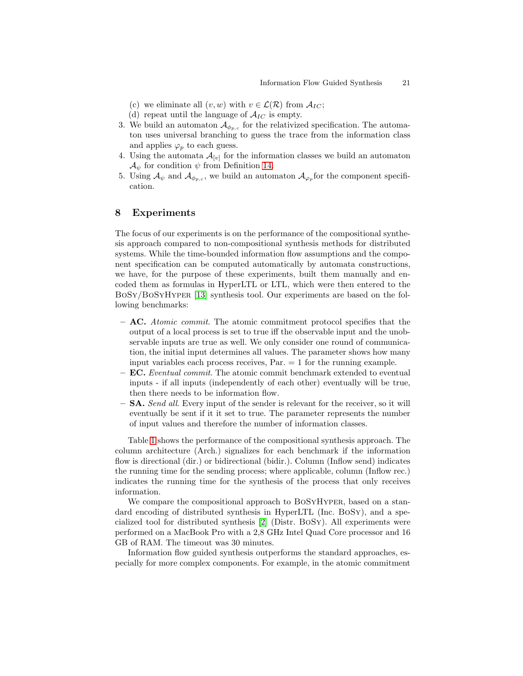- (c) we eliminate all  $(v, w)$  with  $v \in \mathcal{L}(\mathcal{R})$  from  $\mathcal{A}_{IC}$ ;
- (d) repeat until the language of  $A_{IC}$  is empty.
- 3. We build an automaton  $\mathcal{A}_{\phi_{p,c}}$  for the relativized specification. The automaton uses universal branching to guess the trace from the information class and applies  $\varphi_p$  to each guess.
- 4. Using the automata  $\mathcal{A}_{[v]}$  for the information classes we build an automaton  $\mathcal{A}_{\psi}$  for condition  $\psi$  from Definition [14.](#page-18-0)
- 5. Using  $\mathcal{A}_{\psi}$  and  $\mathcal{A}_{\phi_{p,c}}$ , we build an automaton  $\mathcal{A}_{\varphi_p}$  for the component specification.

## <span id="page-20-0"></span>8 Experiments

The focus of our experiments is on the performance of the compositional synthesis approach compared to non-compositional synthesis methods for distributed systems. While the time-bounded information flow assumptions and the component specification can be computed automatically by automata constructions, we have, for the purpose of these experiments, built them manually and encoded them as formulas in HyperLTL or LTL, which were then entered to the BoSy/BoSyHyper [\[13\]](#page-24-3) synthesis tool. Our experiments are based on the following benchmarks:

- $-$  AC. Atomic commit. The atomic commitment protocol specifies that the output of a local process is set to true iff the observable input and the unobservable inputs are true as well. We only consider one round of communication, the initial input determines all values. The parameter shows how many input variables each process receives,  $Par = 1$  for the running example.
- $-$  **EC.** Eventual commit. The atomic commit benchmark extended to eventual inputs - if all inputs (independently of each other) eventually will be true, then there needs to be information flow.
- $-$  **SA.** Send all. Every input of the sender is relevant for the receiver, so it will eventually be sent if it it set to true. The parameter represents the number of input values and therefore the number of information classes.

Table [1](#page-21-0) shows the performance of the compositional synthesis approach. The column architecture (Arch.) signalizes for each benchmark if the information flow is directional (dir.) or bidirectional (bidir.). Column (Inflow send) indicates the running time for the sending process; where applicable, column (Inflow rec.) indicates the running time for the synthesis of the process that only receives information.

We compare the compositional approach to BOSYHYPER, based on a standard encoding of distributed synthesis in HyperLTL (Inc. BoSY), and a specialized tool for distributed synthesis [\[2\]](#page-23-3) (Distr. BoSy). All experiments were performed on a MacBook Pro with a 2,8 GHz Intel Quad Core processor and 16 GB of RAM. The timeout was 30 minutes.

Information flow guided synthesis outperforms the standard approaches, especially for more complex components. For example, in the atomic commitment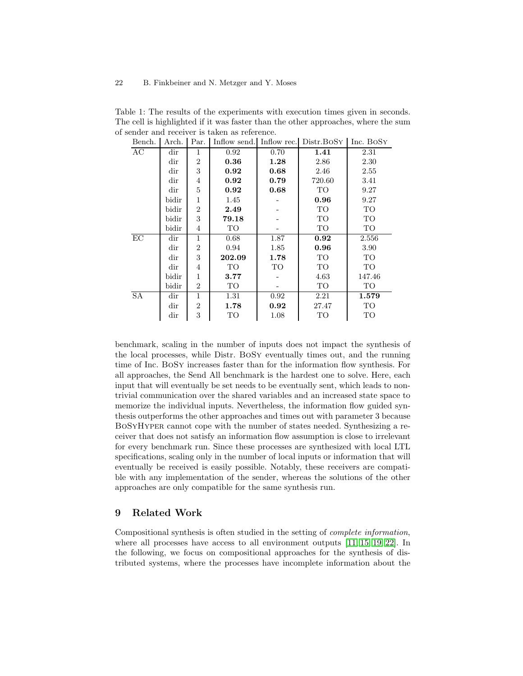<span id="page-21-0"></span>Table 1: The results of the experiments with execution times given in seconds. The cell is highlighted if it was faster than the other approaches, where the sum of sender and receiver is taken as reference.

| Bench. | Arch.                                                                                | Par.           | Inflow send. Inflow rec. |      | Distr.BOSY | Inc. BOSY |
|--------|--------------------------------------------------------------------------------------|----------------|--------------------------|------|------------|-----------|
| AC     | $\mathrm{dir}$                                                                       | 1              | 0.92                     | 0.70 | 1.41       | 2.31      |
|        | $\mathrm{dir}% \left( \mathcal{N}\right) \equiv\mathrm{Tr}\left( \mathcal{N}\right)$ | 2              | 0.36                     | 1.28 | 2.86       | 2.30      |
|        | $\mathrm{dir}% \left( \mathcal{N}\right) \equiv\mathrm{Tr}\left( \mathcal{N}\right)$ | 3              | $0.92\,$                 | 0.68 | 2.46       | 2.55      |
|        | $\mathrm{dir}$                                                                       | 4              | 0.92                     | 0.79 | 720.60     | 3.41      |
|        | $\mathrm{dir}$                                                                       | 5              | 0.92                     | 0.68 | TO         | 9.27      |
|        | bidir                                                                                | 1              | 1.45                     |      | 0.96       | 9.27      |
|        | bidir                                                                                | $\overline{2}$ | 2.49                     |      | TO         | TO        |
|        | bidir                                                                                | 3              | 79.18                    |      | TO         | TO        |
|        | bidir                                                                                | 4              | TO                       |      | TO         | TO        |
| EC     | $\mathrm{dir}% \left( \mathcal{N}\right) \equiv\mathrm{Tr}\left( \mathcal{N}\right)$ | $\mathbf{1}$   | 0.68                     | 1.87 | 0.92       | 2.556     |
|        | $\mathrm{dir}% \left( \mathcal{N}\right) \equiv\mathrm{Tr}\left( \mathcal{N}\right)$ | $\overline{2}$ | 0.94                     | 1.85 | 0.96       | 3.90      |
|        | $\mathrm{dir}% \left( \mathcal{N}\right) \equiv\mathrm{Tr}\left( \mathcal{N}\right)$ | 3              | 202.09                   | 1.78 | TO         | TO        |
|        | $\mathrm{dir}$                                                                       | 4              | TO                       | TO   | TO         | TO        |
|        | bidir                                                                                | 1              | 3.77                     |      | 4.63       | 147.46    |
|        | bidir                                                                                | $\overline{2}$ | TO                       |      | TO         | TO        |
| SA     | $\mathrm{dir}% \left( \mathcal{N}\right) \equiv\mathrm{Tr}\left( \mathcal{N}\right)$ | $\mathbf{1}$   | 1.31                     | 0.92 | 2.21       | 1.579     |
|        | $\mathrm{dir}$                                                                       | 2              | 1.78                     | 0.92 | 27.47      | TO        |
|        | $\mathrm{dir}% \left( \mathcal{N}\right) \equiv\mathrm{Tr}\left( \mathcal{N}\right)$ | 3              | TO                       | 1.08 | TO         | TО        |

benchmark, scaling in the number of inputs does not impact the synthesis of the local processes, while Distr. BoSy eventually times out, and the running time of Inc. BoSy increases faster than for the information flow synthesis. For all approaches, the Send All benchmark is the hardest one to solve. Here, each input that will eventually be set needs to be eventually sent, which leads to nontrivial communication over the shared variables and an increased state space to memorize the individual inputs. Nevertheless, the information flow guided synthesis outperforms the other approaches and times out with parameter 3 because BOSYHYPER cannot cope with the number of states needed. Synthesizing a receiver that does not satisfy an information flow assumption is close to irrelevant for every benchmark run. Since these processes are synthesized with local LTL specifications, scaling only in the number of local inputs or information that will eventually be received is easily possible. Notably, these receivers are compatible with any implementation of the sender, whereas the solutions of the other approaches are only compatible for the same synthesis run.

## 9 Related Work

Compositional synthesis is often studied in the setting of complete information, where all processes have access to all environment outputs [\[11,](#page-24-4) [15,](#page-24-5) [19,](#page-25-5) [22\]](#page-25-6). In the following, we focus on compositional approaches for the synthesis of distributed systems, where the processes have incomplete information about the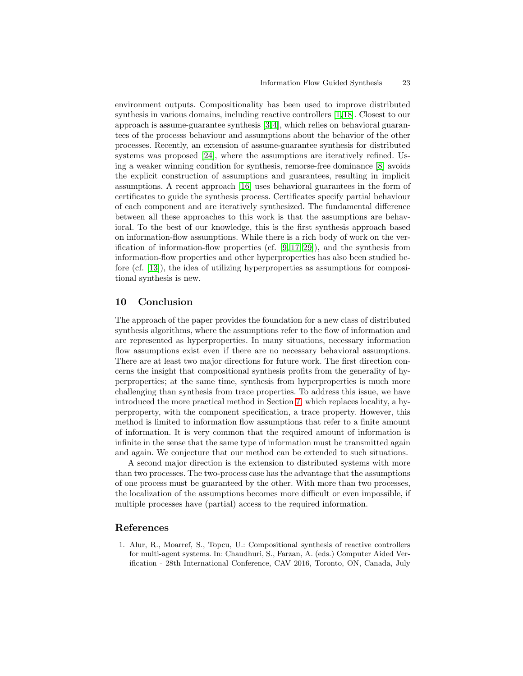environment outputs. Compositionality has been used to improve distributed synthesis in various domains, including reactive controllers [1,18]. Closest to our approach is assume-guarantee synthesis [3,4], which relies on behavioral guarantees of the processs behaviour and assumptions about the behavior of the other processes. Recently, an extension of assume-guarantee synthesis for distributed systems was proposed [24], where the assumptions are iteratively refined. Using a weaker winning condition for synthesis, remorse-free dominance [\[8\]](#page-23-4) avoids the explicit construction of assumptions and guarantees, resulting in implicit assumptions. A recent approach [16] uses behavioral guarantees in the form of certificates to guide the synthesis process. Certificates specify partial behaviour of each component and are iteratively synthesized. The fundamental difference between all these approaches to this work is that the assumptions are behavioral. To the best of our knowledge, this is the first synthesis approach based on information-flow assumptions. While there is a rich body of work on the verification of information-flow properties (cf.  $[9, 17, 29]$ ), and the synthesis from information-flow properties and other hyperproperties has also been studied before (cf. [\[13\]](#page-24-3)), the idea of utilizing hyperproperties as assumptions for compositional synthesis is new.

## 10 Conclusion

The approach of the paper provides the foundation for a new class of distributed synthesis algorithms, where the assumptions refer to the flow of information and are represented as hyperproperties. In many situations, necessary information flow assumptions exist even if there are no necessary behavioral assumptions. There are at least two major directions for future work. The first direction concerns the insight that compositional synthesis profits from the generality of hyperproperties; at the same time, synthesis from hyperproperties is much more challenging than synthesis from trace properties. To address this issue, we have introduced the more practical method in Section [7,](#page-17-0) which replaces locality, a hyperproperty, with the component specification, a trace property. However, this method is limited to information flow assumptions that refer to a finite amount of information. It is very common that the required amount of information is infinite in the sense that the same type of information must be transmitted again and again. We conjecture that our method can be extended to such situations.

A second major direction is the extension to distributed systems with more than two processes. The two-process case has the advantage that the assumptions of one process must be guaranteed by the other. With more than two processes, the localization of the assumptions becomes more difficult or even impossible, if multiple processes have (partial) access to the required information.

#### References

1. Alur, R., Moarref, S., Topcu, U.: Compositional synthesis of reactive controllers for multi-agent systems. In: Chaudhuri, S., Farzan, A. (eds.) Computer Aided Verification - 28th International Conference, CAV 2016, Toronto, ON, Canada, July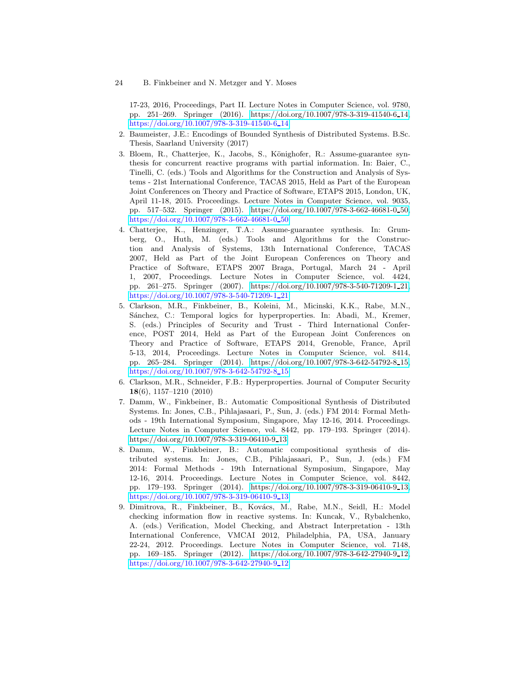24 B. Finkbeiner and N. Metzger and Y. Moses

17-23, 2016, Proceedings, Part II. Lecture Notes in Computer Science, vol. 9780, pp. 251–269. Springer (2016). [https://doi.org/10.1007/978-3-319-41540-6](https://doi.org/10.1007/978-3-319-41540-6_14) 14, [https://doi.org/10.1007/978-3-319-41540-6](https://doi.org/10.1007/978-3-319-41540-6_14)\_14

- <span id="page-23-3"></span>2. Baumeister, J.E.: Encodings of Bounded Synthesis of Distributed Systems. B.Sc. Thesis, Saarland University (2017)
- 3. Bloem, R., Chatterjee, K., Jacobs, S., Könighofer, R.: Assume-guarantee synthesis for concurrent reactive programs with partial information. In: Baier, C., Tinelli, C. (eds.) Tools and Algorithms for the Construction and Analysis of Systems - 21st International Conference, TACAS 2015, Held as Part of the European Joint Conferences on Theory and Practice of Software, ETAPS 2015, London, UK, April 11-18, 2015. Proceedings. Lecture Notes in Computer Science, vol. 9035, pp. 517–532. Springer (2015). [https://doi.org/10.1007/978-3-662-46681-0](https://doi.org/10.1007/978-3-662-46681-0_50) 50, [https://doi.org/10.1007/978-3-662-46681-0](https://doi.org/10.1007/978-3-662-46681-0_50) 50
- 4. Chatterjee, K., Henzinger, T.A.: Assume-guarantee synthesis. In: Grumberg, O., Huth, M. (eds.) Tools and Algorithms for the Construction and Analysis of Systems, 13th International Conference, TACAS 2007, Held as Part of the Joint European Conferences on Theory and Practice of Software, ETAPS 2007 Braga, Portugal, March 24 - April 1, 2007, Proceedings. Lecture Notes in Computer Science, vol. 4424, pp. 261-275. Springer (2007). [https://doi.org/10.1007/978-3-540-71209-1](https://doi.org/10.1007/978-3-540-71209-1_21)\_21, [https://doi.org/10.1007/978-3-540-71209-1](https://doi.org/10.1007/978-3-540-71209-1_21) 21
- <span id="page-23-2"></span>5. Clarkson, M.R., Finkbeiner, B., Koleini, M., Micinski, K.K., Rabe, M.N., Sánchez, C.: Temporal logics for hyperproperties. In: Abadi, M., Kremer, S. (eds.) Principles of Security and Trust - Third International Conference, POST 2014, Held as Part of the European Joint Conferences on Theory and Practice of Software, ETAPS 2014, Grenoble, France, April 5-13, 2014, Proceedings. Lecture Notes in Computer Science, vol. 8414, pp. 265–284. Springer (2014). [https://doi.org/10.1007/978-3-642-54792-8](https://doi.org/10.1007/978-3-642-54792-8_15) 15, [https://doi.org/10.1007/978-3-642-54792-8](https://doi.org/10.1007/978-3-642-54792-8_15) 15
- <span id="page-23-1"></span>6. Clarkson, M.R., Schneider, F.B.: Hyperproperties. Journal of Computer Security 18(6), 1157–1210 (2010)
- <span id="page-23-0"></span>7. Damm, W., Finkbeiner, B.: Automatic Compositional Synthesis of Distributed Systems. In: Jones, C.B., Pihlajasaari, P., Sun, J. (eds.) FM 2014: Formal Methods - 19th International Symposium, Singapore, May 12-16, 2014. Proceedings. Lecture Notes in Computer Science, vol. 8442, pp. 179–193. Springer (2014). [https://doi.org/10.1007/978-3-319-06410-9](https://doi.org/10.1007/978-3-319-06410-9_13) 13
- <span id="page-23-4"></span>8. Damm, W., Finkbeiner, B.: Automatic compositional synthesis of distributed systems. In: Jones, C.B., Pihlajasaari, P., Sun, J. (eds.) FM 2014: Formal Methods - 19th International Symposium, Singapore, May 12-16, 2014. Proceedings. Lecture Notes in Computer Science, vol. 8442, pp. 179–193. Springer (2014). [https://doi.org/10.1007/978-3-319-06410-9](https://doi.org/10.1007/978-3-319-06410-9_13) 13, [https://doi.org/10.1007/978-3-319-06410-9](https://doi.org/10.1007/978-3-319-06410-9_13)\_13
- 9. Dimitrova, R., Finkbeiner, B., Kovács, M., Rabe, M.N., Seidl, H.: Model checking information flow in reactive systems. In: Kuncak, V., Rybalchenko, A. (eds.) Verification, Model Checking, and Abstract Interpretation - 13th International Conference, VMCAI 2012, Philadelphia, PA, USA, January 22-24, 2012. Proceedings. Lecture Notes in Computer Science, vol. 7148, pp. 169–185. Springer (2012). [https://doi.org/10.1007/978-3-642-27940-9](https://doi.org/10.1007/978-3-642-27940-9_12) 12, [https://doi.org/10.1007/978-3-642-27940-9](https://doi.org/10.1007/978-3-642-27940-9_12) 12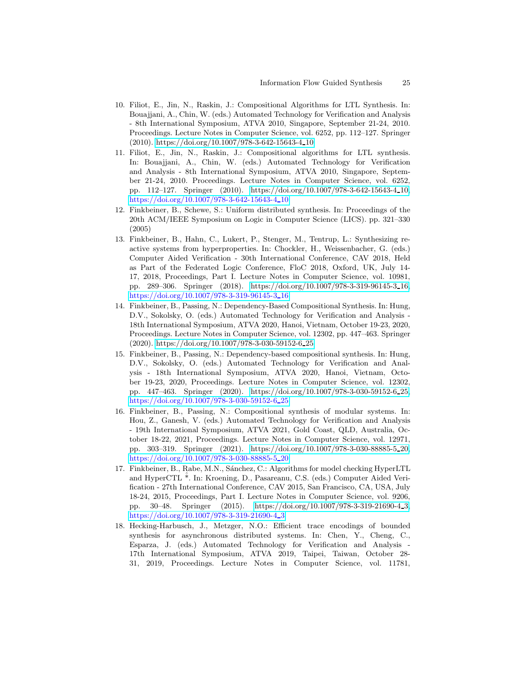- <span id="page-24-1"></span>10. Filiot, E., Jin, N., Raskin, J.: Compositional Algorithms for LTL Synthesis. In: Bouajjani, A., Chin, W. (eds.) Automated Technology for Verification and Analysis - 8th International Symposium, ATVA 2010, Singapore, September 21-24, 2010. Proceedings. Lecture Notes in Computer Science, vol. 6252, pp. 112–127. Springer (2010). [https://doi.org/10.1007/978-3-642-15643-4](https://doi.org/10.1007/978-3-642-15643-4_10) 10
- <span id="page-24-4"></span>11. Filiot, E., Jin, N., Raskin, J.: Compositional algorithms for LTL synthesis. In: Bouajjani, A., Chin, W. (eds.) Automated Technology for Verification and Analysis - 8th International Symposium, ATVA 2010, Singapore, September 21-24, 2010. Proceedings. Lecture Notes in Computer Science, vol. 6252, pp. 112–127. Springer (2010). [https://doi.org/10.1007/978-3-642-15643-4](https://doi.org/10.1007/978-3-642-15643-4_10) 10, [https://doi.org/10.1007/978-3-642-15643-4](https://doi.org/10.1007/978-3-642-15643-4_10) 10
- <span id="page-24-0"></span>12. Finkbeiner, B., Schewe, S.: Uniform distributed synthesis. In: Proceedings of the 20th ACM/IEEE Symposium on Logic in Computer Science (LICS). pp. 321–330 (2005)
- <span id="page-24-3"></span>13. Finkbeiner, B., Hahn, C., Lukert, P., Stenger, M., Tentrup, L.: Synthesizing reactive systems from hyperproperties. In: Chockler, H., Weissenbacher, G. (eds.) Computer Aided Verification - 30th International Conference, CAV 2018, Held as Part of the Federated Logic Conference, FloC 2018, Oxford, UK, July 14- 17, 2018, Proceedings, Part I. Lecture Notes in Computer Science, vol. 10981, pp. 289–306. Springer (2018). [https://doi.org/10.1007/978-3-319-96145-3](https://doi.org/10.1007/978-3-319-96145-3_16) 16, [https://doi.org/10.1007/978-3-319-96145-3](https://doi.org/10.1007/978-3-319-96145-3_16) 16
- <span id="page-24-2"></span>14. Finkbeiner, B., Passing, N.: Dependency-Based Compositional Synthesis. In: Hung, D.V., Sokolsky, O. (eds.) Automated Technology for Verification and Analysis - 18th International Symposium, ATVA 2020, Hanoi, Vietnam, October 19-23, 2020, Proceedings. Lecture Notes in Computer Science, vol. 12302, pp. 447–463. Springer (2020). [https://doi.org/10.1007/978-3-030-59152-6](https://doi.org/10.1007/978-3-030-59152-6_25)\_25
- <span id="page-24-5"></span>15. Finkbeiner, B., Passing, N.: Dependency-based compositional synthesis. In: Hung, D.V., Sokolsky, O. (eds.) Automated Technology for Verification and Analysis - 18th International Symposium, ATVA 2020, Hanoi, Vietnam, October 19-23, 2020, Proceedings. Lecture Notes in Computer Science, vol. 12302, pp. 447–463. Springer (2020). [https://doi.org/10.1007/978-3-030-59152-6](https://doi.org/10.1007/978-3-030-59152-6_25) 25, [https://doi.org/10.1007/978-3-030-59152-6](https://doi.org/10.1007/978-3-030-59152-6_25) 25
- 16. Finkbeiner, B., Passing, N.: Compositional synthesis of modular systems. In: Hou, Z., Ganesh, V. (eds.) Automated Technology for Verification and Analysis - 19th International Symposium, ATVA 2021, Gold Coast, QLD, Australia, October 18-22, 2021, Proceedings. Lecture Notes in Computer Science, vol. 12971, pp. 303–319. Springer (2021). [https://doi.org/10.1007/978-3-030-88885-5](https://doi.org/10.1007/978-3-030-88885-5_20) 20, [https://doi.org/10.1007/978-3-030-88885-5](https://doi.org/10.1007/978-3-030-88885-5_20) 20
- 17. Finkbeiner, B., Rabe, M.N., Sánchez, C.: Algorithms for model checking HyperLTL and HyperCTL ˆ\*. In: Kroening, D., Pasareanu, C.S. (eds.) Computer Aided Verification - 27th International Conference, CAV 2015, San Francisco, CA, USA, July 18-24, 2015, Proceedings, Part I. Lecture Notes in Computer Science, vol. 9206, pp. 30–48. Springer (2015). [https://doi.org/10.1007/978-3-319-21690-4](https://doi.org/10.1007/978-3-319-21690-4_3) 3, [https://doi.org/10.1007/978-3-319-21690-4](https://doi.org/10.1007/978-3-319-21690-4_3) 3
- 18. Hecking-Harbusch, J., Metzger, N.O.: Efficient trace encodings of bounded synthesis for asynchronous distributed systems. In: Chen, Y., Cheng, C., Esparza, J. (eds.) Automated Technology for Verification and Analysis - 17th International Symposium, ATVA 2019, Taipei, Taiwan, October 28- 31, 2019, Proceedings. Lecture Notes in Computer Science, vol. 11781,